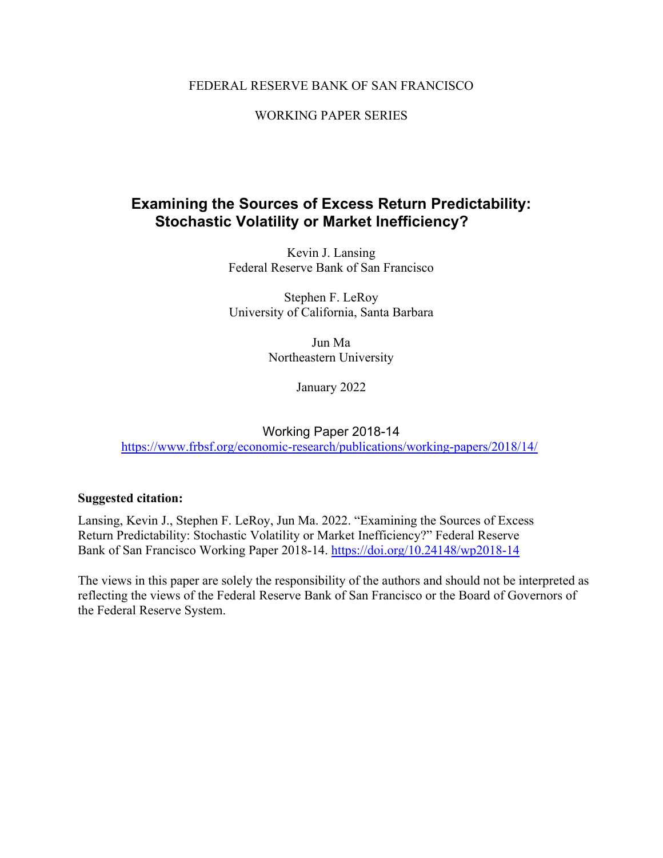### FEDERAL RESERVE BANK OF SAN FRANCISCO

### WORKING PAPER SERIES

# **Examining the Sources of Excess Return Predictability: Stochastic Volatility or Market Inefficiency?**

Kevin J. Lansing Federal Reserve Bank of San Francisco

Stephen F. LeRoy University of California, Santa Barbara

> Jun Ma Northeastern University

> > January 2022

Working Paper 2018-14 <https://www.frbsf.org/economic-research/publications/working-papers/2018/14/>

### **Suggested citation:**

Lansing, Kevin J., Stephen F. LeRoy, Jun Ma. 2022. "Examining the Sources of Excess Return Predictability: Stochastic Volatility or Market Inefficiency?" Federal Reserve Bank of San Francisco Working Paper 2018-14.<https://doi.org/10.24148/wp2018-14>

The views in this paper are solely the responsibility of the authors and should not be interpreted as reflecting the views of the Federal Reserve Bank of San Francisco or the Board of Governors of the Federal Reserve System.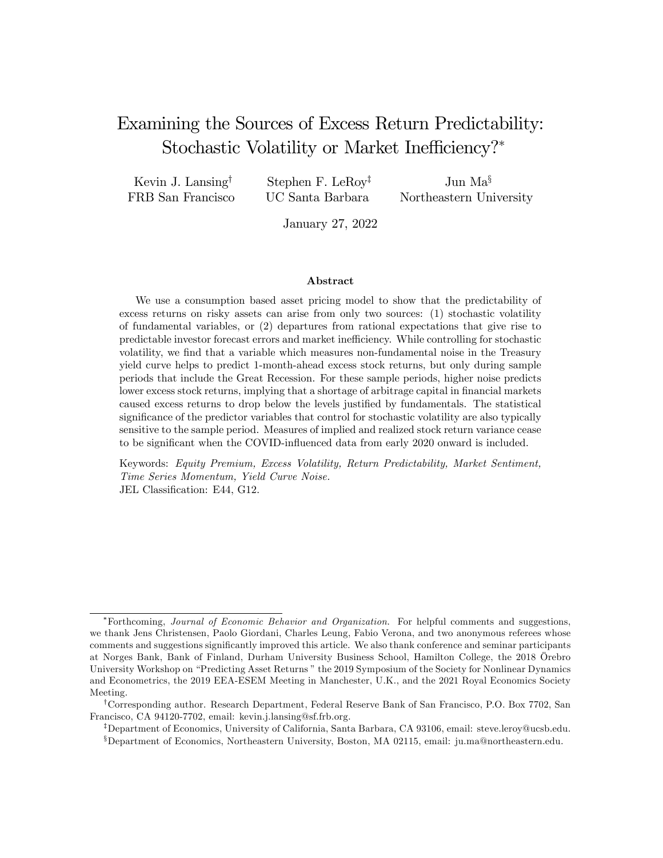# Examining the Sources of Excess Return Predictability: Stochastic Volatility or Market Inefficiency?<sup>\*</sup>

Kevin J. Lansing<sup>†</sup> FRB San Francisco

Stephen F. LeRoy<sup> $‡$ </sup> UC Santa Barbara

Jun  $Ma^{\S}$ Northeastern University

January 27, 2022

#### Abstract

We use a consumption based asset pricing model to show that the predictability of excess returns on risky assets can arise from only two sources: (1) stochastic volatility of fundamental variables, or (2) departures from rational expectations that give rise to predictable investor forecast errors and market ine¢ ciency. While controlling for stochastic volatility, we find that a variable which measures non-fundamental noise in the Treasury yield curve helps to predict 1-month-ahead excess stock returns, but only during sample periods that include the Great Recession. For these sample periods, higher noise predicts lower excess stock returns, implying that a shortage of arbitrage capital in financial markets caused excess returns to drop below the levels justified by fundamentals. The statistical significance of the predictor variables that control for stochastic volatility are also typically sensitive to the sample period. Measures of implied and realized stock return variance cease to be significant when the COVID-influenced data from early 2020 onward is included.

Keywords: Equity Premium, Excess Volatility, Return Predictability, Market Sentiment, Time Series Momentum, Yield Curve Noise. JEL Classification: E44, G12.

Forthcoming, Journal of Economic Behavior and Organization. For helpful comments and suggestions, we thank Jens Christensen, Paolo Giordani, Charles Leung, Fabio Verona, and two anonymous referees whose comments and suggestions signiÖcantly improved this article. We also thank conference and seminar participants at Norges Bank, Bank of Finland, Durham University Business School, Hamilton College, the 2018 Örebro University Workshop on "Predicting Asset Returns" the 2019 Symposium of the Society for Nonlinear Dynamics and Econometrics, the 2019 EEA-ESEM Meeting in Manchester, U.K., and the 2021 Royal Economics Society Meeting.

<sup>&</sup>lt;sup>†</sup>Corresponding author. Research Department, Federal Reserve Bank of San Francisco, P.O. Box 7702, San Francisco, CA 94120-7702, email: kevin.j.lansing@sf.frb.org.

<sup>&</sup>lt;sup>‡</sup>Department of Economics, University of California, Santa Barbara, CA 93106, email: steve.leroy@ucsb.edu. <sup>§</sup>Department of Economics, Northeastern University, Boston, MA 02115, email: ju.ma@northeastern.edu.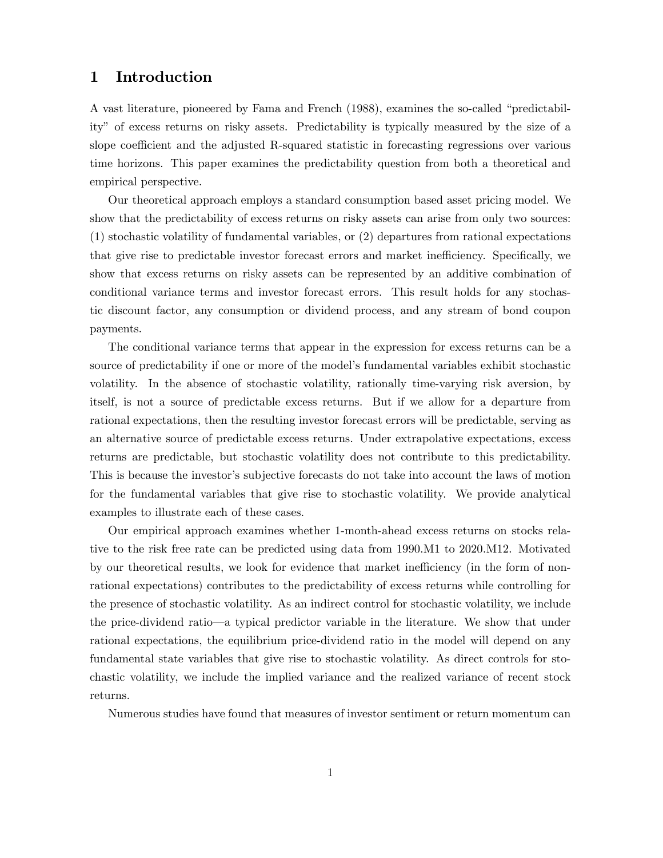## 1 Introduction

A vast literature, pioneered by Fama and French (1988), examines the so-called "predictabilityî of excess returns on risky assets. Predictability is typically measured by the size of a slope coefficient and the adjusted R-squared statistic in forecasting regressions over various time horizons. This paper examines the predictability question from both a theoretical and empirical perspective.

Our theoretical approach employs a standard consumption based asset pricing model. We show that the predictability of excess returns on risky assets can arise from only two sources: (1) stochastic volatility of fundamental variables, or (2) departures from rational expectations that give rise to predictable investor forecast errors and market inefficiency. Specifically, we show that excess returns on risky assets can be represented by an additive combination of conditional variance terms and investor forecast errors. This result holds for any stochastic discount factor, any consumption or dividend process, and any stream of bond coupon payments.

The conditional variance terms that appear in the expression for excess returns can be a source of predictability if one or more of the model's fundamental variables exhibit stochastic volatility. In the absence of stochastic volatility, rationally time-varying risk aversion, by itself, is not a source of predictable excess returns. But if we allow for a departure from rational expectations, then the resulting investor forecast errors will be predictable, serving as an alternative source of predictable excess returns. Under extrapolative expectations, excess returns are predictable, but stochastic volatility does not contribute to this predictability. This is because the investor's subjective forecasts do not take into account the laws of motion for the fundamental variables that give rise to stochastic volatility. We provide analytical examples to illustrate each of these cases.

Our empirical approach examines whether 1-month-ahead excess returns on stocks relative to the risk free rate can be predicted using data from 1990.M1 to 2020.M12. Motivated by our theoretical results, we look for evidence that market inefficiency (in the form of nonrational expectations) contributes to the predictability of excess returns while controlling for the presence of stochastic volatility. As an indirect control for stochastic volatility, we include the price-dividend ratio—a typical predictor variable in the literature. We show that under rational expectations, the equilibrium price-dividend ratio in the model will depend on any fundamental state variables that give rise to stochastic volatility. As direct controls for stochastic volatility, we include the implied variance and the realized variance of recent stock returns.

Numerous studies have found that measures of investor sentiment or return momentum can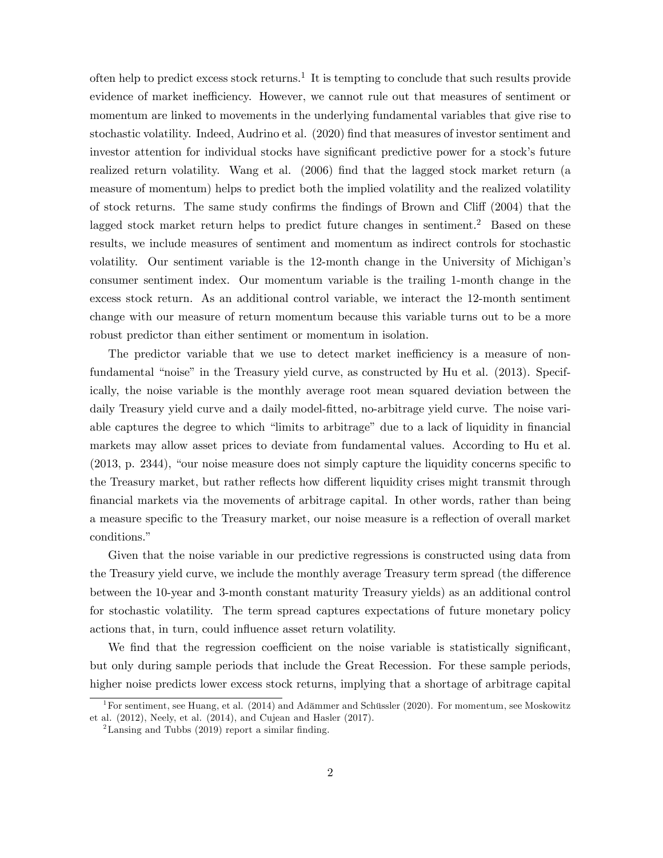often help to predict excess stock returns.<sup>1</sup> It is tempting to conclude that such results provide evidence of market inefficiency. However, we cannot rule out that measures of sentiment or momentum are linked to movements in the underlying fundamental variables that give rise to stochastic volatility. Indeed, Audrino et al. (2020) Önd that measures of investor sentiment and investor attention for individual stocks have significant predictive power for a stock's future realized return volatility. Wang et al.  $(2006)$  find that the lagged stock market return (a measure of momentum) helps to predict both the implied volatility and the realized volatility of stock returns. The same study confirms the findings of Brown and Cliff  $(2004)$  that the lagged stock market return helps to predict future changes in sentiment.<sup>2</sup> Based on these results, we include measures of sentiment and momentum as indirect controls for stochastic volatility. Our sentiment variable is the 12-month change in the University of Michigan's consumer sentiment index. Our momentum variable is the trailing 1-month change in the excess stock return. As an additional control variable, we interact the 12-month sentiment change with our measure of return momentum because this variable turns out to be a more robust predictor than either sentiment or momentum in isolation.

The predictor variable that we use to detect market inefficiency is a measure of nonfundamental "noise" in the Treasury yield curve, as constructed by Hu et al. (2013). Specifically, the noise variable is the monthly average root mean squared deviation between the daily Treasury yield curve and a daily model-fitted, no-arbitrage yield curve. The noise variable captures the degree to which "limits to arbitrage" due to a lack of liquidity in financial markets may allow asset prices to deviate from fundamental values. According to Hu et al.  $(2013, p. 2344)$ , "our noise measure does not simply capture the liquidity concerns specific to the Treasury market, but rather reflects how different liquidity crises might transmit through Önancial markets via the movements of arbitrage capital. In other words, rather than being a measure specific to the Treasury market, our noise measure is a reflection of overall market conditions."

Given that the noise variable in our predictive regressions is constructed using data from the Treasury yield curve, we include the monthly average Treasury term spread (the difference between the 10-year and 3-month constant maturity Treasury yields) as an additional control for stochastic volatility. The term spread captures expectations of future monetary policy actions that, in turn, could influence asset return volatility.

We find that the regression coefficient on the noise variable is statistically significant, but only during sample periods that include the Great Recession. For these sample periods, higher noise predicts lower excess stock returns, implying that a shortage of arbitrage capital

<sup>&</sup>lt;sup>1</sup>For sentiment, see Huang, et al. (2014) and Adämmer and Schüssler (2020). For momentum, see Moskowitz et al. (2012), Neely, et al. (2014), and Cujean and Hasler (2017).

<sup>&</sup>lt;sup>2</sup>Lansing and Tubbs (2019) report a similar finding.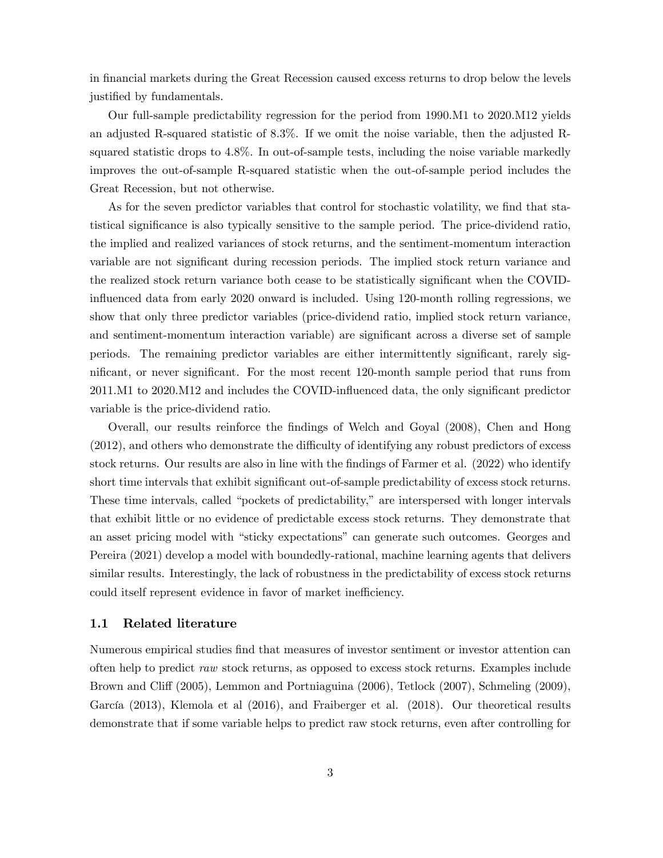in financial markets during the Great Recession caused excess returns to drop below the levels justified by fundamentals.

Our full-sample predictability regression for the period from 1990.M1 to 2020.M12 yields an adjusted R-squared statistic of 8.3%. If we omit the noise variable, then the adjusted Rsquared statistic drops to 4.8%. In out-of-sample tests, including the noise variable markedly improves the out-of-sample R-squared statistic when the out-of-sample period includes the Great Recession, but not otherwise.

As for the seven predictor variables that control for stochastic volatility, we find that statistical significance is also typically sensitive to the sample period. The price-dividend ratio, the implied and realized variances of stock returns, and the sentiment-momentum interaction variable are not significant during recession periods. The implied stock return variance and the realized stock return variance both cease to be statistically significant when the COVIDinfluenced data from early 2020 onward is included. Using 120-month rolling regressions, we show that only three predictor variables (price-dividend ratio, implied stock return variance, and sentiment-momentum interaction variable) are significant across a diverse set of sample periods. The remaining predictor variables are either intermittently significant, rarely significant, or never significant. For the most recent 120-month sample period that runs from 2011.M1 to 2020.M12 and includes the COVID-influenced data, the only significant predictor variable is the price-dividend ratio.

Overall, our results reinforce the Öndings of Welch and Goyal (2008), Chen and Hong  $(2012)$ , and others who demonstrate the difficulty of identifying any robust predictors of excess stock returns. Our results are also in line with the findings of Farmer et al. (2022) who identify short time intervals that exhibit significant out-of-sample predictability of excess stock returns. These time intervals, called "pockets of predictability," are interspersed with longer intervals that exhibit little or no evidence of predictable excess stock returns. They demonstrate that an asset pricing model with "sticky expectations" can generate such outcomes. Georges and Pereira (2021) develop a model with boundedly-rational, machine learning agents that delivers similar results. Interestingly, the lack of robustness in the predictability of excess stock returns could itself represent evidence in favor of market inefficiency.

#### 1.1 Related literature

Numerous empirical studies find that measures of investor sentiment or investor attention can often help to predict raw stock returns, as opposed to excess stock returns. Examples include Brown and Cliff (2005), Lemmon and Portniaguina (2006), Tetlock (2007), Schmeling (2009), García (2013), Klemola et al (2016), and Fraiberger et al. (2018). Our theoretical results demonstrate that if some variable helps to predict raw stock returns, even after controlling for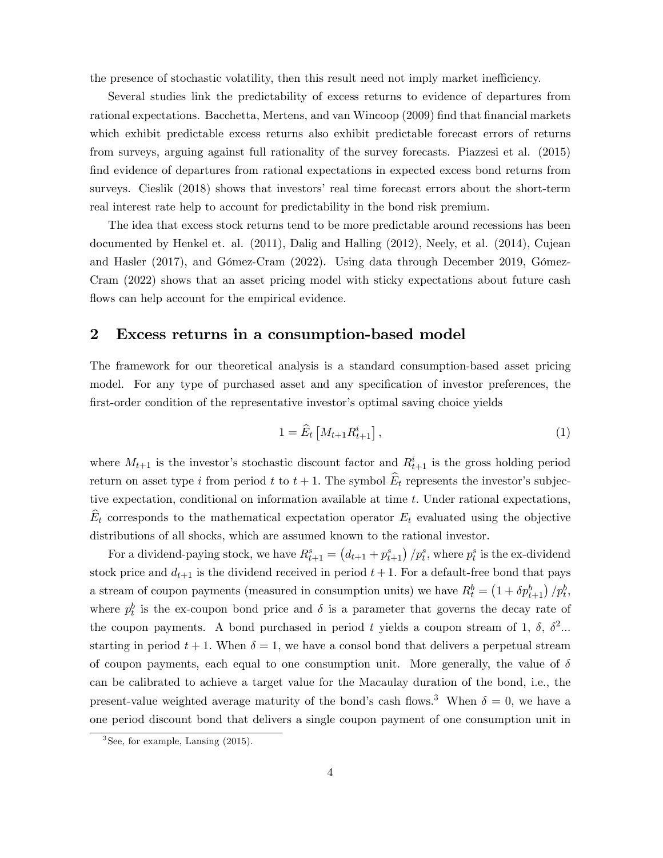the presence of stochastic volatility, then this result need not imply market inefficiency.

Several studies link the predictability of excess returns to evidence of departures from rational expectations. Bacchetta, Mertens, and van Wincoop (2009) find that financial markets which exhibit predictable excess returns also exhibit predictable forecast errors of returns from surveys, arguing against full rationality of the survey forecasts. Piazzesi et al. (2015) find evidence of departures from rational expectations in expected excess bond returns from surveys. Cieslik (2018) shows that investors' real time forecast errors about the short-term real interest rate help to account for predictability in the bond risk premium.

The idea that excess stock returns tend to be more predictable around recessions has been documented by Henkel et. al. (2011), Dalig and Halling (2012), Neely, et al. (2014), Cujean and Hasler  $(2017)$ , and Gómez-Cram  $(2022)$ . Using data through December 2019, Gómez-Cram (2022) shows that an asset pricing model with sticky expectations about future cash flows can help account for the empirical evidence.

### 2 Excess returns in a consumption-based model

The framework for our theoretical analysis is a standard consumption-based asset pricing model. For any type of purchased asset and any specification of investor preferences, the first-order condition of the representative investor's optimal saving choice yields

$$
1 = \widehat{E}_t \left[ M_{t+1} R_{t+1}^i \right], \tag{1}
$$

where  $M_{t+1}$  is the investor's stochastic discount factor and  $R_{t+1}$  is the gross holding period return on asset type i from period t to  $t + 1$ . The symbol  $\widehat{E}_t$  represents the investor's subjective expectation, conditional on information available at time  $t$ . Under rational expectations,  $\widehat{E}_t$  corresponds to the mathematical expectation operator  $E_t$  evaluated using the objective distributions of all shocks, which are assumed known to the rational investor.

For a dividend-paying stock, we have  $R_{t+1}^s = (d_{t+1} + p_{t+1}^s)/p_t^s$ , where  $p_t^s$  is the ex-dividend stock price and  $d_{t+1}$  is the dividend received in period  $t+1$ . For a default-free bond that pays a stream of coupon payments (measured in consumption units) we have  $R_t^b = \left(1 + \delta p_{t+1}^b\right) / p_t^b$ , where  $p_t^b$  is the ex-coupon bond price and  $\delta$  is a parameter that governs the decay rate of the coupon payments. A bond purchased in period t yields a coupon stream of 1,  $\delta$ ,  $\delta^2$ ... starting in period  $t + 1$ . When  $\delta = 1$ , we have a consol bond that delivers a perpetual stream of coupon payments, each equal to one consumption unit. More generally, the value of  $\delta$ can be calibrated to achieve a target value for the Macaulay duration of the bond, i.e., the present-value weighted average maturity of the bond's cash flows.<sup>3</sup> When  $\delta = 0$ , we have a one period discount bond that delivers a single coupon payment of one consumption unit in

<sup>3</sup> See, for example, Lansing (2015).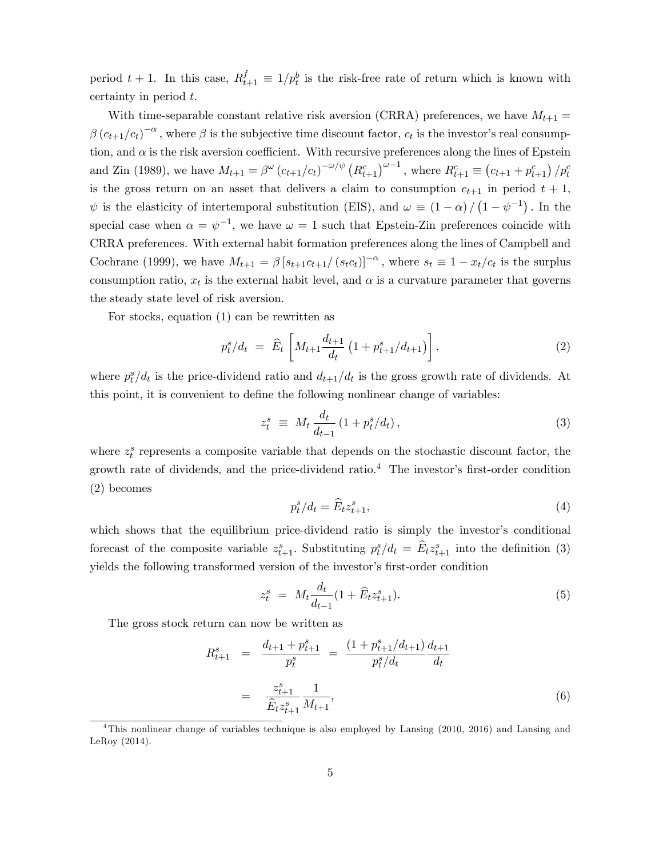period  $t + 1$ . In this case,  $R_{t+1}^f \equiv 1/p_t^b$  is the risk-free rate of return which is known with certainty in period t:

With time-separable constant relative risk aversion (CRRA) preferences, we have  $M_{t+1}$  =  $\beta (c_{t+1}/c_t)^{-\alpha}$ , where  $\beta$  is the subjective time discount factor,  $c_t$  is the investor's real consumption, and  $\alpha$  is the risk aversion coefficient. With recursive preferences along the lines of Epstein and Zin (1989), we have  $M_{t+1} = \beta^{\omega} (c_{t+1}/c_t)^{-\omega/\psi} (R_{t+1}^c)^{\omega-1}$ , where  $R_{t+1}^c \equiv (c_{t+1} + p_{t+1}^c) / p_t^c$ is the gross return on an asset that delivers a claim to consumption  $c_{t+1}$  in period  $t + 1$ ,  $\psi$  is the elasticity of intertemporal substitution (EIS), and  $\omega \equiv (1 - \alpha) / (1 - \psi^{-1})$ . In the special case when  $\alpha = \psi^{-1}$ , we have  $\omega = 1$  such that Epstein-Zin preferences coincide with CRRA preferences. With external habit formation preferences along the lines of Campbell and Cochrane (1999), we have  $M_{t+1} = \beta [s_{t+1}c_{t+1}/(s_t c_t)]^{-\alpha}$ , where  $s_t \equiv 1 - x_t/c_t$  is the surplus consumption ratio,  $x_t$  is the external habit level, and  $\alpha$  is a curvature parameter that governs the steady state level of risk aversion.

For stocks, equation (1) can be rewritten as

$$
p_t^s/d_t = \hat{E}_t \left[ M_{t+1} \frac{d_{t+1}}{d_t} \left( 1 + p_{t+1}^s / d_{t+1} \right) \right], \tag{2}
$$

where  $p_t^s/d_t$  is the price-dividend ratio and  $d_{t+1}/d_t$  is the gross growth rate of dividends. At this point, it is convenient to define the following nonlinear change of variables:

$$
z_t^s \equiv M_t \frac{d_t}{d_{t-1}} (1 + p_t^s / d_t), \tag{3}
$$

where  $z_t^s$  represents a composite variable that depends on the stochastic discount factor, the growth rate of dividends, and the price-dividend ratio.<sup>4</sup> The investor's first-order condition (2) becomes

$$
p_t^s/d_t = \widehat{E}_t z_{t+1}^s,\tag{4}
$$

which shows that the equilibrium price-dividend ratio is simply the investor's conditional forecast of the composite variable  $z_{t+1}^s$ . Substituting  $p_t^s/d_t = \widehat{E}_t z_{t+1}^s$  into the definition (3) yields the following transformed version of the investor's first-order condition

$$
z_t^s = M_t \frac{d_t}{d_{t-1}} (1 + \widehat{E}_t z_{t+1}^s). \tag{5}
$$

The gross stock return can now be written as

$$
R_{t+1}^{s} = \frac{d_{t+1} + p_{t+1}^{s}}{p_{t}^{s}} = \frac{(1 + p_{t+1}^{s}/d_{t+1})}{p_{t}^{s}/d_{t}} \frac{d_{t+1}}{d_{t}}
$$

$$
= \frac{z_{t+1}^{s}}{\hat{E}_{t} z_{t+1}^{s}} \frac{1}{M_{t+1}}, \tag{6}
$$

<sup>4</sup>This nonlinear change of variables technique is also employed by Lansing (2010, 2016) and Lansing and LeRoy (2014).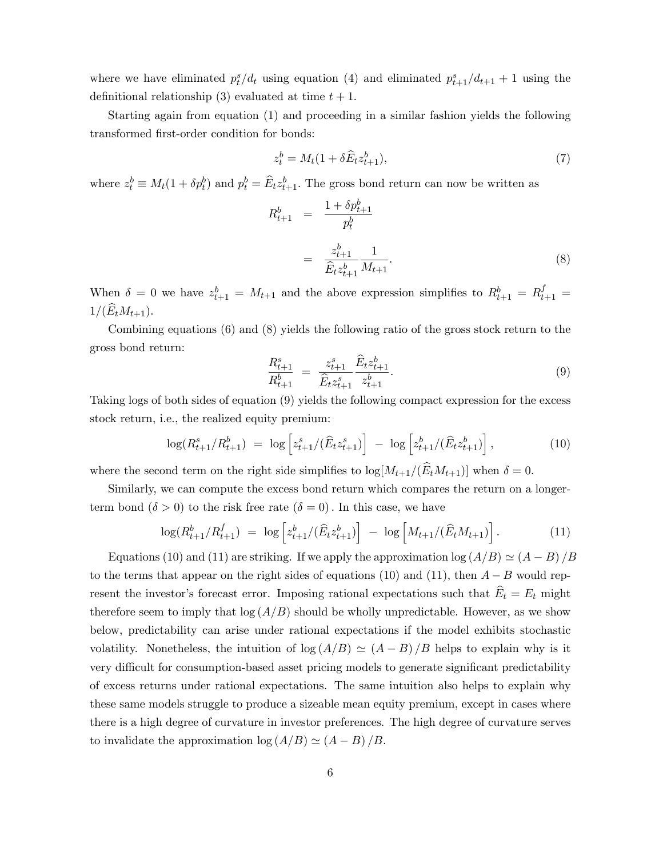where we have eliminated  $p_t^s/d_t$  using equation (4) and eliminated  $p_{t+1}^s/d_{t+1} + 1$  using the definitional relationship (3) evaluated at time  $t + 1$ .

Starting again from equation (1) and proceeding in a similar fashion yields the following transformed first-order condition for bonds:

$$
z_t^b = M_t(1 + \delta \widehat{E}_t z_{t+1}^b),\tag{7}
$$

where  $z_t^b \equiv M_t(1 + \delta p_t^b)$  and  $p_t^b = \widehat{E}_t z_{t+1}^b$ . The gross bond return can now be written as

$$
R_{t+1}^{b} = \frac{1 + \delta p_{t+1}^{b}}{p_t^{b}}
$$
  
= 
$$
\frac{z_{t+1}^{b}}{\widehat{E}_t z_{t+1}^{b}} \frac{1}{M_{t+1}}.
$$
 (8)

When  $\delta = 0$  we have  $z_{t+1}^b = M_{t+1}$  and the above expression simplifies to  $R_{t+1}^b = R_{t+1}^f =$  $1/(\widehat{E}_tM_{t+1}).$ 

Combining equations (6) and (8) yields the following ratio of the gross stock return to the gross bond return:

$$
\frac{R_{t+1}^s}{R_{t+1}^b} = \frac{z_{t+1}^s}{\widehat{E}_t z_{t+1}^s} \frac{\widehat{E}_t z_{t+1}^b}{z_{t+1}^b}.
$$
\n(9)

Taking logs of both sides of equation (9) yields the following compact expression for the excess stock return, i.e., the realized equity premium:

$$
\log(R_{t+1}^s/R_{t+1}^b) = \log\left[z_{t+1}^s/(\widehat{E}_t z_{t+1}^s)\right] - \log\left[z_{t+1}^b/(\widehat{E}_t z_{t+1}^b)\right],\tag{10}
$$

where the second term on the right side simplifies to  $\log[M_{t+1}/(E_tM_{t+1})]$  when  $\delta = 0$ .

Similarly, we can compute the excess bond return which compares the return on a longerterm bond  $(\delta > 0)$  to the risk free rate  $(\delta = 0)$ . In this case, we have

$$
\log(R_{t+1}^b/R_{t+1}^f) = \log\left[z_{t+1}^b/(\widehat{E}_t z_{t+1}^b)\right] - \log\left[M_{t+1}/(\widehat{E}_t M_{t+1})\right].\tag{11}
$$

Equations (10) and (11) are striking. If we apply the approximation  $\log (A/B) \simeq (A - B)/B$ to the terms that appear on the right sides of equations (10) and (11), then  $A - B$  would represent the investor's forecast error. Imposing rational expectations such that  $\widehat{E}_t = E_t$  might therefore seem to imply that  $\log(A/B)$  should be wholly unpredictable. However, as we show below, predictability can arise under rational expectations if the model exhibits stochastic volatility. Nonetheless, the intuition of  $\log(A/B) \simeq (A-B)/B$  helps to explain why is it very difficult for consumption-based asset pricing models to generate significant predictability of excess returns under rational expectations. The same intuition also helps to explain why these same models struggle to produce a sizeable mean equity premium, except in cases where there is a high degree of curvature in investor preferences. The high degree of curvature serves to invalidate the approximation  $\log (A/B) \simeq (A - B)/B$ .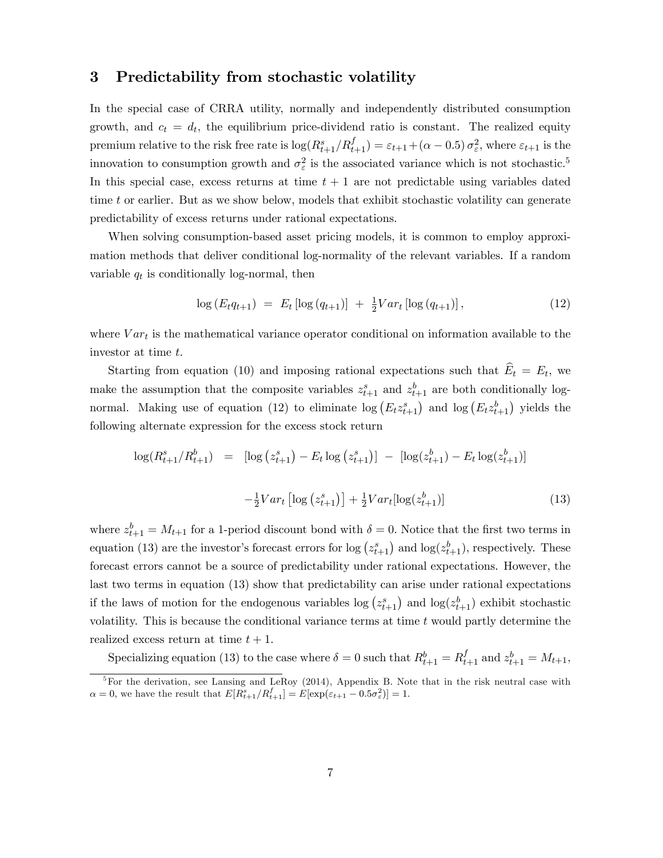### 3 Predictability from stochastic volatility

In the special case of CRRA utility, normally and independently distributed consumption growth, and  $c_t = d_t$ , the equilibrium price-dividend ratio is constant. The realized equity premium relative to the risk free rate is  $\log(R_{t+1}^s/R_{t+1}^f) = \varepsilon_{t+1} + (\alpha - 0.5) \sigma_\varepsilon^2$ , where  $\varepsilon_{t+1}$  is the innovation to consumption growth and  $\sigma_{\varepsilon}^2$  is the associated variance which is not stochastic.<sup>5</sup> In this special case, excess returns at time  $t + 1$  are not predictable using variables dated time t or earlier. But as we show below, models that exhibit stochastic volatility can generate predictability of excess returns under rational expectations.

When solving consumption-based asset pricing models, it is common to employ approximation methods that deliver conditional log-normality of the relevant variables. If a random variable  $q_t$  is conditionally log-normal, then

$$
\log (E_t q_{t+1}) = E_t [\log (q_{t+1})] + \frac{1}{2} Var_t [\log (q_{t+1})], \qquad (12)
$$

where  $Var_t$  is the mathematical variance operator conditional on information available to the investor at time t:

Starting from equation (10) and imposing rational expectations such that  $E_t = E_t$ , we make the assumption that the composite variables  $z_{t+1}^s$  and  $z_{t+1}^b$  are both conditionally lognormal. Making use of equation (12) to eliminate  $\log(E_t z_{t+1}^s)$  and  $\log(E_t z_{t+1}^b)$  yields the following alternate expression for the excess stock return

$$
\log(R_{t+1}^s/R_{t+1}^b) = [\log(z_{t+1}^s) - E_t \log(z_{t+1}^s)] - [\log(z_{t+1}^b) - E_t \log(z_{t+1}^b)]
$$
  

$$
-\frac{1}{2}Var_t [\log(z_{t+1}^s)] + \frac{1}{2}Var_t [\log(z_{t+1}^b)] \qquad (13)
$$

where  $z_{t+1}^b = M_{t+1}$  for a 1-period discount bond with  $\delta = 0$ . Notice that the first two terms in equation (13) are the investor's forecast errors for  $\log(z_{t+1}^s)$  and  $\log(z_{t+1}^b)$ , respectively. These forecast errors cannot be a source of predictability under rational expectations. However, the last two terms in equation (13) show that predictability can arise under rational expectations if the laws of motion for the endogenous variables  $\log (z_{t+1}^s)$  and  $\log (z_{t+1}^b)$  exhibit stochastic volatility. This is because the conditional variance terms at time  $t$  would partly determine the realized excess return at time  $t + 1$ .

Specializing equation (13) to the case where  $\delta = 0$  such that  $R_{t+1}^b = R_{t+1}^f$  and  $z_{t+1}^b = M_{t+1}$ ,

<sup>&</sup>lt;sup>5</sup>For the derivation, see Lansing and LeRoy (2014), Appendix B. Note that in the risk neutral case with  $\alpha = 0$ , we have the result that  $E[R_{t+1}^s / R_{t+1}^f] = E[\exp(\varepsilon_{t+1} - 0.5\sigma_\varepsilon^2)] = 1$ .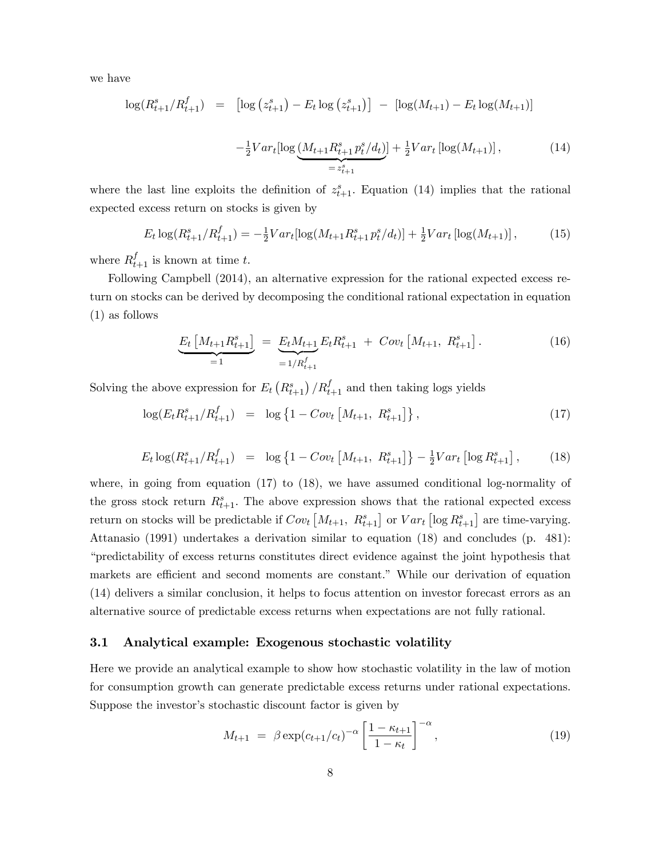we have

$$
\log(R_{t+1}^s/R_{t+1}^f) = \left[ \log(z_{t+1}^s) - E_t \log(z_{t+1}^s) \right] - \left[ \log(M_{t+1}) - E_t \log(M_{t+1}) \right]
$$

$$
-\frac{1}{2}Var_t[\log(M_{t+1}R_{t+1}^s p_t^s/d_t)] + \frac{1}{2}Var_t[\log(M_{t+1})], \tag{14}
$$

$$
= z_{t+1}^s
$$

where the last line exploits the definition of  $z_{t+1}^s$ . Equation (14) implies that the rational expected excess return on stocks is given by

$$
E_t \log(R_{t+1}^s/R_{t+1}^f) = -\frac{1}{2}Var_t[\log(M_{t+1}R_{t+1}^s p_t^s/d_t)] + \frac{1}{2}Var_t[\log(M_{t+1})],\tag{15}
$$

where  $R_{t+1}^f$  is known at time t.

Following Campbell (2014), an alternative expression for the rational expected excess return on stocks can be derived by decomposing the conditional rational expectation in equation (1) as follows

$$
\underbrace{E_t \left[ M_{t+1} R_{t+1}^s \right]}_{=1} = \underbrace{E_t M_{t+1}}_{=1/R_{t+1}^f} E_t R_{t+1}^s + \text{Cov}_t \left[ M_{t+1}, \ R_{t+1}^s \right]. \tag{16}
$$

Solving the above expression for  $E_t(R_{t+1}^s)/R_{t+1}^f$  and then taking logs yields

$$
\log(E_t R_{t+1}^s / R_{t+1}^f) = \log \left\{ 1 - Cov_t \left[ M_{t+1}, \ R_{t+1}^s \right] \right\},\tag{17}
$$

$$
E_t \log(R_{t+1}^s/R_{t+1}^f) = \log\left\{1 - Cov_t\left[M_{t+1}, R_{t+1}^s\right]\right\} - \frac{1}{2}Var_t\left[\log R_{t+1}^s\right],\tag{18}
$$

where, in going from equation  $(17)$  to  $(18)$ , we have assumed conditional log-normality of the gross stock return  $R_{t+1}^s$ . The above expression shows that the rational expected excess return on stocks will be predictable if  $Cov_t\left[M_{t+1}, R_{t+1}^s\right]$  or  $Var_t\left[\log R_{t+1}^s\right]$  are time-varying. Attanasio (1991) undertakes a derivation similar to equation (18) and concludes (p. 481): ìpredictability of excess returns constitutes direct evidence against the joint hypothesis that markets are efficient and second moments are constant." While our derivation of equation (14) delivers a similar conclusion, it helps to focus attention on investor forecast errors as an alternative source of predictable excess returns when expectations are not fully rational.

#### 3.1 Analytical example: Exogenous stochastic volatility

Here we provide an analytical example to show how stochastic volatility in the law of motion for consumption growth can generate predictable excess returns under rational expectations. Suppose the investor's stochastic discount factor is given by

$$
M_{t+1} = \beta \exp(c_{t+1}/c_t)^{-\alpha} \left[ \frac{1 - \kappa_{t+1}}{1 - \kappa_t} \right]^{-\alpha}, \tag{19}
$$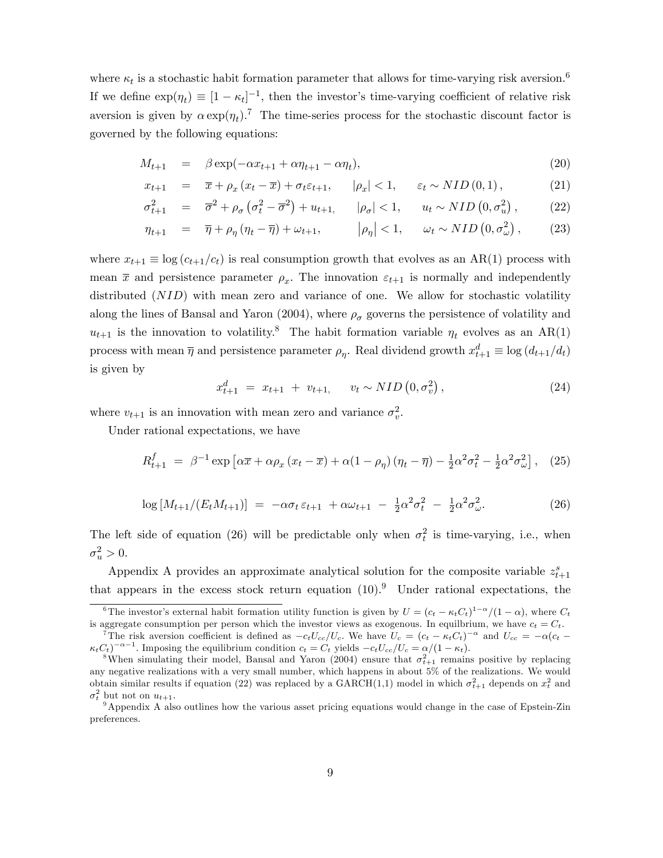where  $\kappa_t$  is a stochastic habit formation parameter that allows for time-varying risk aversion.<sup>6</sup> If we define  $\exp(\eta_t) \equiv [1 - \kappa_t]^{-1}$ , then the investor's time-varying coefficient of relative risk aversion is given by  $\alpha \exp(\eta_t)$ .<sup>7</sup> The time-series process for the stochastic discount factor is governed by the following equations:

$$
M_{t+1} = \beta \exp(-\alpha x_{t+1} + \alpha \eta_{t+1} - \alpha \eta_t), \qquad (20)
$$

$$
x_{t+1} = \overline{x} + \rho_x \left( x_t - \overline{x} \right) + \sigma_t \varepsilon_{t+1}, \qquad |\rho_x| < 1, \qquad \varepsilon_t \sim NID\left(0, 1\right), \tag{21}
$$

$$
\sigma_{t+1}^2 = \overline{\sigma}^2 + \rho_\sigma \left( \sigma_t^2 - \overline{\sigma}^2 \right) + u_{t+1}, \qquad |\rho_\sigma| < 1, \qquad u_t \sim NID\left(0, \sigma_u^2\right), \tag{22}
$$

$$
\eta_{t+1} = \overline{\eta} + \rho_{\eta} (\eta_t - \overline{\eta}) + \omega_{t+1}, \qquad |\rho_{\eta}| < 1, \qquad \omega_t \sim NID\left(0, \sigma_{\omega}^2\right), \qquad (23)
$$

where  $x_{t+1} \equiv \log (c_{t+1}/c_t)$  is real consumption growth that evolves as an AR(1) process with mean  $\bar{x}$  and persistence parameter  $\rho_x$ . The innovation  $\varepsilon_{t+1}$  is normally and independently distributed (*NID*) with mean zero and variance of one. We allow for stochastic volatility along the lines of Bansal and Yaron (2004), where  $\rho_{\sigma}$  governs the persistence of volatility and  $u_{t+1}$  is the innovation to volatility.<sup>8</sup> The habit formation variable  $\eta_t$  evolves as an AR(1) process with mean  $\overline{\eta}$  and persistence parameter  $\rho_{\eta}$ . Real dividend growth  $x_{t+1}^d \equiv \log (d_{t+1}/d_t)$ is given by

$$
x_{t+1}^d = x_{t+1} + v_{t+1}, \quad v_t \sim NID\left(0, \sigma_v^2\right), \tag{24}
$$

where  $v_{t+1}$  is an innovation with mean zero and variance  $\sigma_v^2$ .

Under rational expectations, we have

$$
R_{t+1}^f = \beta^{-1} \exp\left[\alpha \overline{x} + \alpha \rho_x \left(x_t - \overline{x}\right) + \alpha (1 - \rho_\eta) \left(\eta_t - \overline{\eta}\right) - \frac{1}{2} \alpha^2 \sigma_t^2 - \frac{1}{2} \alpha^2 \sigma_\omega^2\right], \quad (25)
$$

$$
\log\left[M_{t+1}/(E_t M_{t+1})\right] = -\alpha \sigma_t \varepsilon_{t+1} + \alpha \omega_{t+1} - \frac{1}{2} \alpha^2 \sigma_t^2 - \frac{1}{2} \alpha^2 \sigma_{\omega}^2. \tag{26}
$$

The left side of equation (26) will be predictable only when  $\sigma_t^2$  is time-varying, i.e., when  $\sigma_u^2 > 0.$ 

Appendix A provides an approximate analytical solution for the composite variable  $z_{t+1}^s$ that appears in the excess stock return equation  $(10)^9$ . Under rational expectations, the

<sup>&</sup>lt;sup>6</sup>The investor's external habit formation utility function is given by  $U = (c_t - \kappa_t C_t)^{1-\alpha}/(1-\alpha)$ , where  $C_t$ is aggregate consumption per person which the investor views as exogenous. In equilibrium, we have  $c_t = C_t$ .

<sup>&</sup>lt;sup>7</sup>The risk aversion coefficient is defined as  $-c_tU_{cc}/U_c$ . We have  $U_c = (c_t - \kappa_tC_t)^{-\alpha}$  and  $U_{cc} = -\alpha(c_t - \kappa_tC_t)^{-\alpha}$  $\kappa_t C_t\big)^{-\alpha-1}$ . Imposing the equilibrium condition  $c_t = C_t$  yields  $-c_tU_{cc}/U_c = \alpha/(1 - \kappa_t)$ .

<sup>&</sup>lt;sup>8</sup>When simulating their model, Bansal and Yaron (2004) ensure that  $\sigma_{t+1}^2$  remains positive by replacing any negative realizations with a very small number, which happens in about 5% of the realizations. We would obtain similar results if equation (22) was replaced by a GARCH(1,1) model in which  $\sigma_{t+1}^2$  depends on  $x_t^2$  and  $\sigma_t^2$  but not on  $u_{t+1}$ .

<sup>9</sup>Appendix A also outlines how the various asset pricing equations would change in the case of Epstein-Zin preferences.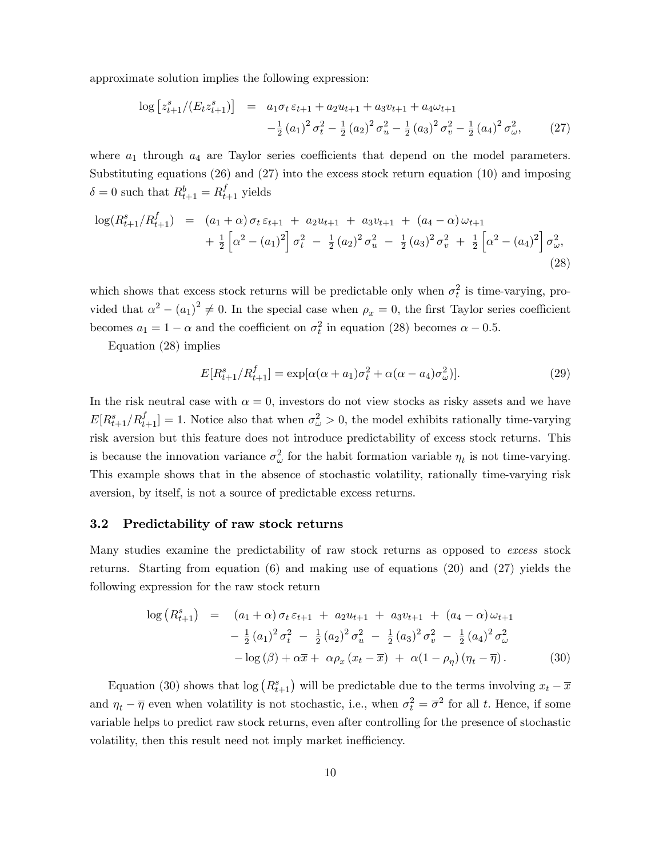approximate solution implies the following expression:

$$
\log \left[ z_{t+1}^s / (E_t z_{t+1}^s) \right] = a_1 \sigma_t \varepsilon_{t+1} + a_2 u_{t+1} + a_3 v_{t+1} + a_4 \omega_{t+1}
$$
  

$$
- \frac{1}{2} (a_1)^2 \sigma_t^2 - \frac{1}{2} (a_2)^2 \sigma_u^2 - \frac{1}{2} (a_3)^2 \sigma_v^2 - \frac{1}{2} (a_4)^2 \sigma_v^2, \qquad (27)
$$

where  $a_1$  through  $a_4$  are Taylor series coefficients that depend on the model parameters. Substituting equations (26) and (27) into the excess stock return equation (10) and imposing  $\delta = 0$  such that  $R_{t+1}^b = R_{t+1}^f$  yields

$$
\log(R_{t+1}^{s}/R_{t+1}^{f}) = (a_1 + \alpha) \sigma_t \varepsilon_{t+1} + a_2 u_{t+1} + a_3 v_{t+1} + (a_4 - \alpha) \omega_{t+1} + \frac{1}{2} \left[ \alpha^2 - (a_1)^2 \right] \sigma_t^2 - \frac{1}{2} (a_2)^2 \sigma_u^2 - \frac{1}{2} (a_3)^2 \sigma_v^2 + \frac{1}{2} \left[ \alpha^2 - (a_4)^2 \right] \sigma_\omega^2, \tag{28}
$$

which shows that excess stock returns will be predictable only when  $\sigma_t^2$  is time-varying, provided that  $\alpha^2 - (a_1)^2 \neq 0$ . In the special case when  $\rho_x = 0$ , the first Taylor series coefficient becomes  $a_1 = 1 - \alpha$  and the coefficient on  $\sigma_t^2$  in equation (28) becomes  $\alpha - 0.5$ .

Equation (28) implies

$$
E[R_{t+1}^{s}/R_{t+1}^{f}] = \exp[\alpha(\alpha + a_1)\sigma_t^2 + \alpha(\alpha - a_4)\sigma_{\omega}^2)].
$$
\n(29)

In the risk neutral case with  $\alpha = 0$ , investors do not view stocks as risky assets and we have  $E[R_{t+1}^s/R_{t+1}^f] = 1.$  Notice also that when  $\sigma_\omega^2 > 0$ , the model exhibits rationally time-varying risk aversion but this feature does not introduce predictability of excess stock returns. This is because the innovation variance  $\sigma_{\omega}^2$  for the habit formation variable  $\eta_t$  is not time-varying. This example shows that in the absence of stochastic volatility, rationally time-varying risk aversion, by itself, is not a source of predictable excess returns.

#### 3.2 Predictability of raw stock returns

Many studies examine the predictability of raw stock returns as opposed to excess stock returns. Starting from equation (6) and making use of equations (20) and (27) yields the following expression for the raw stock return

$$
\log (R_{t+1}^s) = (a_1 + \alpha) \sigma_t \varepsilon_{t+1} + a_2 u_{t+1} + a_3 v_{t+1} + (a_4 - \alpha) \omega_{t+1} \n- \frac{1}{2} (a_1)^2 \sigma_t^2 - \frac{1}{2} (a_2)^2 \sigma_u^2 - \frac{1}{2} (a_3)^2 \sigma_v^2 - \frac{1}{2} (a_4)^2 \sigma_\omega^2 \n- \log (\beta) + \alpha \overline{x} + \alpha \rho_x (x_t - \overline{x}) + \alpha (1 - \rho_\eta) (\eta_t - \overline{\eta}).
$$
\n(30)

Equation (30) shows that  $\log(R_{t+1}^s)$  will be predictable due to the terms involving  $x_t - \overline{x}$ and  $\eta_t - \overline{\eta}$  even when volatility is not stochastic, i.e., when  $\sigma_t^2 = \overline{\sigma}^2$  for all t. Hence, if some variable helps to predict raw stock returns, even after controlling for the presence of stochastic volatility, then this result need not imply market inefficiency.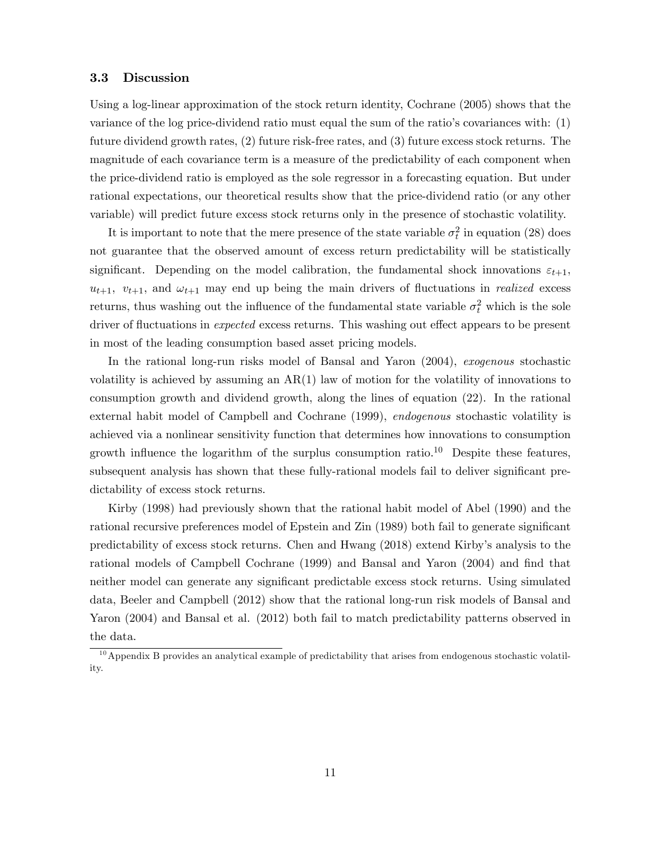#### 3.3 Discussion

Using a log-linear approximation of the stock return identity, Cochrane (2005) shows that the variance of the log price-dividend ratio must equal the sum of the ratioís covariances with: (1) future dividend growth rates, (2) future risk-free rates, and (3) future excess stock returns. The magnitude of each covariance term is a measure of the predictability of each component when the price-dividend ratio is employed as the sole regressor in a forecasting equation. But under rational expectations, our theoretical results show that the price-dividend ratio (or any other variable) will predict future excess stock returns only in the presence of stochastic volatility.

It is important to note that the mere presence of the state variable  $\sigma_t^2$  in equation (28) does not guarantee that the observed amount of excess return predictability will be statistically significant. Depending on the model calibration, the fundamental shock innovations  $\varepsilon_{t+1}$ ,  $u_{t+1}$ ,  $v_{t+1}$ , and  $\omega_{t+1}$  may end up being the main drivers of fluctuations in *realized* excess returns, thus washing out the influence of the fundamental state variable  $\sigma_t^2$  which is the sole driver of fluctuations in *expected* excess returns. This washing out effect appears to be present in most of the leading consumption based asset pricing models.

In the rational long-run risks model of Bansal and Yaron (2004), exogenous stochastic volatility is achieved by assuming an  $AR(1)$  law of motion for the volatility of innovations to consumption growth and dividend growth, along the lines of equation (22). In the rational external habit model of Campbell and Cochrane (1999), endogenous stochastic volatility is achieved via a nonlinear sensitivity function that determines how innovations to consumption growth influence the logarithm of the surplus consumption ratio.<sup>10</sup> Despite these features, subsequent analysis has shown that these fully-rational models fail to deliver significant predictability of excess stock returns.

Kirby (1998) had previously shown that the rational habit model of Abel (1990) and the rational recursive preferences model of Epstein and Zin (1989) both fail to generate significant predictability of excess stock returns. Chen and Hwang (2018) extend Kirbyís analysis to the rational models of Campbell Cochrane (1999) and Bansal and Yaron (2004) and find that neither model can generate any significant predictable excess stock returns. Using simulated data, Beeler and Campbell (2012) show that the rational long-run risk models of Bansal and Yaron (2004) and Bansal et al. (2012) both fail to match predictability patterns observed in the data.

<sup>&</sup>lt;sup>10</sup> Appendix B provides an analytical example of predictability that arises from endogenous stochastic volatility.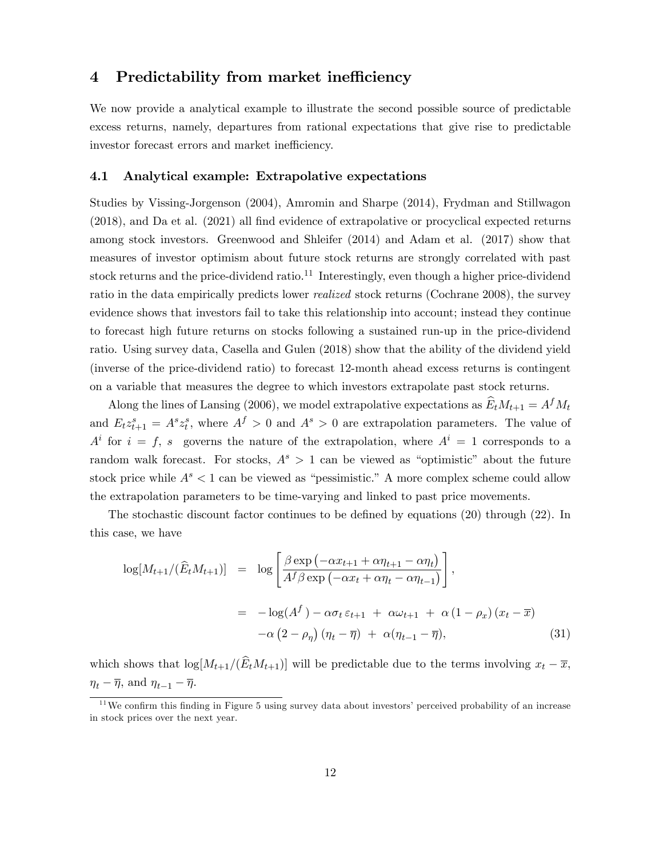### 4 Predictability from market inefficiency

We now provide a analytical example to illustrate the second possible source of predictable excess returns, namely, departures from rational expectations that give rise to predictable investor forecast errors and market inefficiency.

#### 4.1 Analytical example: Extrapolative expectations

Studies by Vissing-Jorgenson (2004), Amromin and Sharpe (2014), Frydman and Stillwagon  $(2018)$ , and Da et al.  $(2021)$  all find evidence of extrapolative or procyclical expected returns among stock investors. Greenwood and Shleifer (2014) and Adam et al. (2017) show that measures of investor optimism about future stock returns are strongly correlated with past stock returns and the price-dividend ratio.<sup>11</sup> Interestingly, even though a higher price-dividend ratio in the data empirically predicts lower realized stock returns (Cochrane 2008), the survey evidence shows that investors fail to take this relationship into account; instead they continue to forecast high future returns on stocks following a sustained run-up in the price-dividend ratio. Using survey data, Casella and Gulen (2018) show that the ability of the dividend yield (inverse of the price-dividend ratio) to forecast 12-month ahead excess returns is contingent on a variable that measures the degree to which investors extrapolate past stock returns.

Along the lines of Lansing (2006), we model extrapolative expectations as  $\hat{E}_t M_{t+1} = A^f M_t$ and  $E_t z_{t+1}^s = A^s z_t^s$ , where  $A^f > 0$  and  $A^s > 0$  are extrapolation parameters. The value of  $A^i$  for  $i = f$ , s governs the nature of the extrapolation, where  $A^i = 1$  corresponds to a random walk forecast. For stocks,  $A^{s} > 1$  can be viewed as "optimistic" about the future stock price while  $A<sup>s</sup> < 1$  can be viewed as "pessimistic." A more complex scheme could allow the extrapolation parameters to be time-varying and linked to past price movements.

The stochastic discount factor continues to be defined by equations  $(20)$  through  $(22)$ . In this case, we have

$$
\log[M_{t+1}/(\hat{E}_t M_{t+1})] = \log\left[\frac{\beta \exp\left(-\alpha x_{t+1} + \alpha \eta_{t+1} - \alpha \eta_t\right)}{A^f \beta \exp\left(-\alpha x_t + \alpha \eta_t - \alpha \eta_{t-1}\right)}\right],
$$
  

$$
= -\log(A^f) - \alpha \sigma_t \varepsilon_{t+1} + \alpha \omega_{t+1} + \alpha (1 - \rho_x) (x_t - \overline{x})
$$

$$
-\alpha (2 - \rho_\eta) (\eta_t - \overline{\eta}) + \alpha (\eta_{t-1} - \overline{\eta}), \tag{31}
$$

which shows that  $\log[M_{t+1}/(\widehat{E}_tM_{t+1})]$  will be predictable due to the terms involving  $x_t - \overline{x}$ ,  $\eta_t - \overline{\eta}$ , and  $\eta_{t-1} - \overline{\eta}$ .

 $11$ We confirm this finding in Figure 5 using survey data about investors' perceived probability of an increase in stock prices over the next year.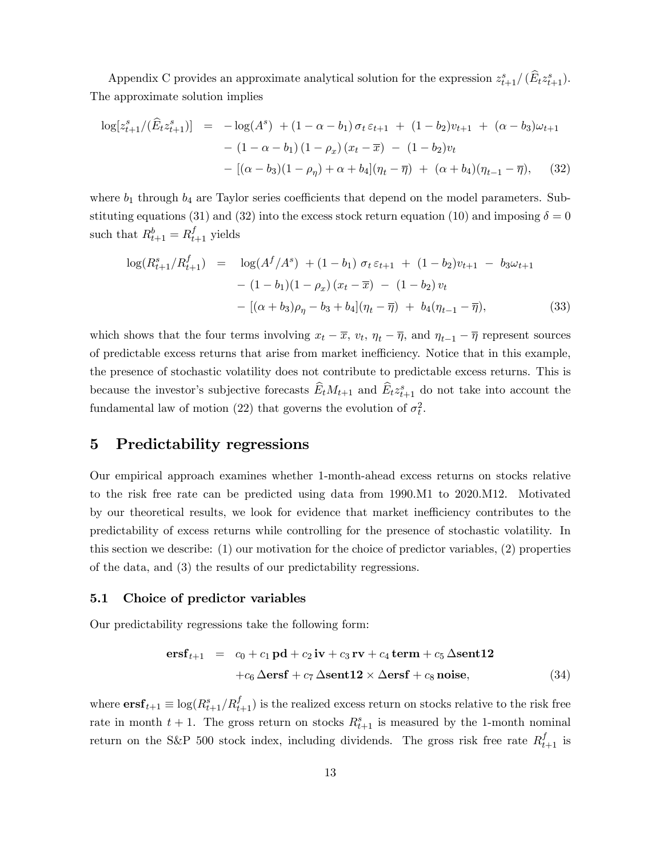Appendix C provides an approximate analytical solution for the expression  $z_{t+1}^s/(\widehat{E}_t z_{t+1}^s)$ . The approximate solution implies

$$
\log[z_{t+1}^s/(\widehat{E}_t z_{t+1}^s)] = -\log(A^s) + (1 - \alpha - b_1)\sigma_t \varepsilon_{t+1} + (1 - b_2)v_{t+1} + (\alpha - b_3)\omega_{t+1} - (1 - \alpha - b_1)(1 - \rho_x)(x_t - \overline{x}) - (1 - b_2)v_t - [(\alpha - b_3)(1 - \rho_\eta) + \alpha + b_4](\eta_t - \overline{\eta}) + (\alpha + b_4)(\eta_{t-1} - \overline{\eta}), \quad (32)
$$

where  $b_1$  through  $b_4$  are Taylor series coefficients that depend on the model parameters. Substituting equations (31) and (32) into the excess stock return equation (10) and imposing  $\delta = 0$ such that  $R_{t+1}^b = R_{t+1}^f$  yields

$$
\log(R_{t+1}^s/R_{t+1}^f) = \log(A^f/A^s) + (1 - b_1) \sigma_t \varepsilon_{t+1} + (1 - b_2)v_{t+1} - b_3\omega_{t+1} - (1 - b_1)(1 - \rho_x)(x_t - \overline{x}) - (1 - b_2)v_t - [(\alpha + b_3)\rho_\eta - b_3 + b_4](\eta_t - \overline{\eta}) + b_4(\eta_{t-1} - \overline{\eta}), \tag{33}
$$

which shows that the four terms involving  $x_t - \overline{x}$ ,  $v_t$ ,  $\eta_t - \overline{\eta}$ , and  $\eta_{t-1} - \overline{\eta}$  represent sources of predictable excess returns that arise from market ine¢ ciency. Notice that in this example, the presence of stochastic volatility does not contribute to predictable excess returns. This is because the investor's subjective forecasts  $\widehat{E}_t M_{t+1}$  and  $\widehat{E}_t z_{t+1}^s$  do not take into account the fundamental law of motion (22) that governs the evolution of  $\sigma_t^2$ .

### 5 Predictability regressions

Our empirical approach examines whether 1-month-ahead excess returns on stocks relative to the risk free rate can be predicted using data from 1990.M1 to 2020.M12. Motivated by our theoretical results, we look for evidence that market inefficiency contributes to the predictability of excess returns while controlling for the presence of stochastic volatility. In this section we describe: (1) our motivation for the choice of predictor variables, (2) properties of the data, and (3) the results of our predictability regressions.

#### 5.1 Choice of predictor variables

Our predictability regressions take the following form:

$$
\text{ersf}_{t+1} = c_0 + c_1 \,\text{pd} + c_2 \,\text{iv} + c_3 \,\text{rv} + c_4 \,\text{term} + c_5 \,\Delta \text{sent12} + c_6 \,\Delta \text{ersf} + c_7 \,\Delta \text{sent12} \times \Delta \text{ersf} + c_8 \,\text{noise}, \tag{34}
$$

where  $\textbf{ersf}_{t+1} \equiv \log(R_{t+1}^s/R_{t+1}^f)$  is the realized excess return on stocks relative to the risk free rate in month  $t + 1$ . The gross return on stocks  $R_{t+1}^s$  is measured by the 1-month nominal return on the S&P 500 stock index, including dividends. The gross risk free rate  $R_{t+1}^f$  is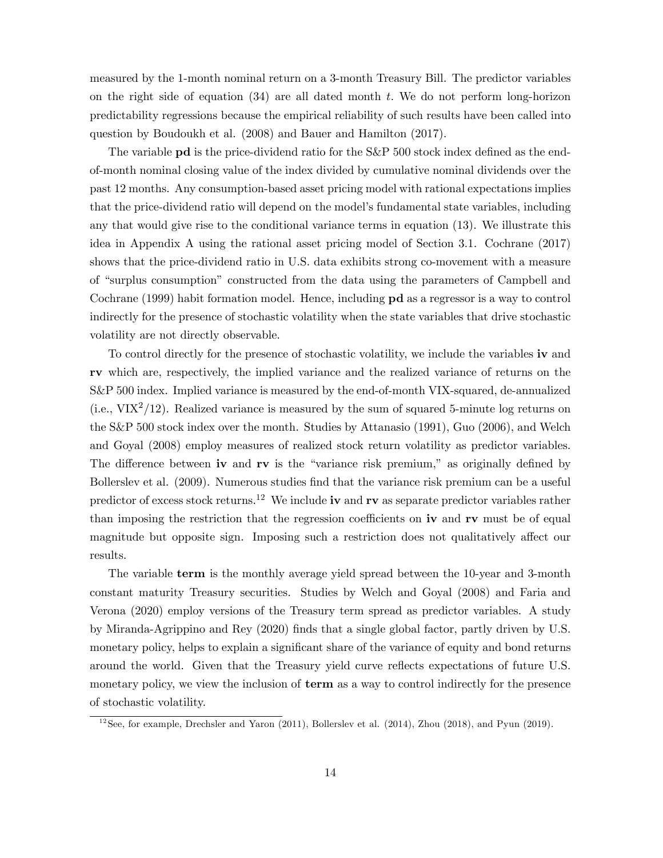measured by the 1-month nominal return on a 3-month Treasury Bill. The predictor variables on the right side of equation  $(34)$  are all dated month t. We do not perform long-horizon predictability regressions because the empirical reliability of such results have been called into question by Boudoukh et al. (2008) and Bauer and Hamilton (2017).

The variable **pd** is the price-dividend ratio for the S&P 500 stock index defined as the endof-month nominal closing value of the index divided by cumulative nominal dividends over the past 12 months. Any consumption-based asset pricing model with rational expectations implies that the price-dividend ratio will depend on the model's fundamental state variables, including any that would give rise to the conditional variance terms in equation (13). We illustrate this idea in Appendix A using the rational asset pricing model of Section 3.1. Cochrane (2017) shows that the price-dividend ratio in U.S. data exhibits strong co-movement with a measure of "surplus consumption" constructed from the data using the parameters of Campbell and Cochrane (1999) habit formation model. Hence, including pd as a regressor is a way to control indirectly for the presence of stochastic volatility when the state variables that drive stochastic volatility are not directly observable.

To control directly for the presence of stochastic volatility, we include the variables iv and rv which are, respectively, the implied variance and the realized variance of returns on the S&P 500 index. Implied variance is measured by the end-of-month VIX-squared, de-annualized  $(i.e., VIX<sup>2</sup>/12)$ . Realized variance is measured by the sum of squared 5-minute log returns on the S&P 500 stock index over the month. Studies by Attanasio (1991), Guo (2006), and Welch and Goyal (2008) employ measures of realized stock return volatility as predictor variables. The difference between iv and rv is the "variance risk premium," as originally defined by Bollerslev et al. (2009). Numerous studies find that the variance risk premium can be a useful predictor of excess stock returns.<sup>12</sup> We include iv and rv as separate predictor variables rather than imposing the restriction that the regression coefficients on  $\mathbf{iv}$  and  $\mathbf{rv}$  must be of equal magnitude but opposite sign. Imposing such a restriction does not qualitatively affect our results.

The variable term is the monthly average yield spread between the 10-year and 3-month constant maturity Treasury securities. Studies by Welch and Goyal (2008) and Faria and Verona (2020) employ versions of the Treasury term spread as predictor variables. A study by Miranda-Agrippino and Rey (2020) Önds that a single global factor, partly driven by U.S. monetary policy, helps to explain a significant share of the variance of equity and bond returns around the world. Given that the Treasury yield curve reflects expectations of future U.S. monetary policy, we view the inclusion of **term** as a way to control indirectly for the presence of stochastic volatility.

 $12$ See, for example, Drechsler and Yaron (2011), Bollerslev et al. (2014), Zhou (2018), and Pyun (2019).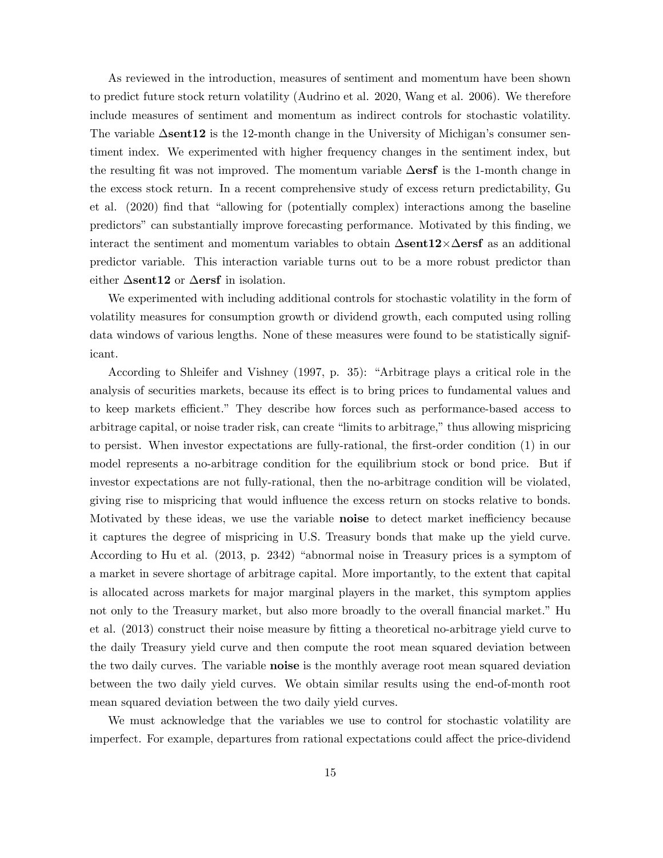As reviewed in the introduction, measures of sentiment and momentum have been shown to predict future stock return volatility (Audrino et al. 2020, Wang et al. 2006). We therefore include measures of sentiment and momentum as indirect controls for stochastic volatility. The variable  $\Delta$ **sent12** is the 12-month change in the University of Michigan's consumer sentiment index. We experimented with higher frequency changes in the sentiment index, but the resulting fit was not improved. The momentum variable  $\Delta$ ersf is the 1-month change in the excess stock return. In a recent comprehensive study of excess return predictability, Gu et al.  $(2020)$  find that "allowing for (potentially complex) interactions among the baseline predictorsî can substantially improve forecasting performance. Motivated by this Önding, we interact the sentiment and momentum variables to obtain  $\Delta$ sent $12\times \Delta$ ersf as an additional predictor variable. This interaction variable turns out to be a more robust predictor than either  $\Delta$ sent12 or  $\Delta$ ersf in isolation.

We experimented with including additional controls for stochastic volatility in the form of volatility measures for consumption growth or dividend growth, each computed using rolling data windows of various lengths. None of these measures were found to be statistically significant.

According to Shleifer and Vishney  $(1997, p. 35)$ : "Arbitrage plays a critical role in the analysis of securities markets, because its effect is to bring prices to fundamental values and to keep markets efficient." They describe how forces such as performance-based access to arbitrage capital, or noise trader risk, can create "limits to arbitrage," thus allowing mispricing to persist. When investor expectations are fully-rational, the first-order condition (1) in our model represents a no-arbitrage condition for the equilibrium stock or bond price. But if investor expectations are not fully-rational, then the no-arbitrage condition will be violated, giving rise to mispricing that would influence the excess return on stocks relative to bonds. Motivated by these ideas, we use the variable noise to detect market inefficiency because it captures the degree of mispricing in U.S. Treasury bonds that make up the yield curve. According to Hu et al.  $(2013, p. 2342)$  "abnormal noise in Treasury prices is a symptom of a market in severe shortage of arbitrage capital. More importantly, to the extent that capital is allocated across markets for major marginal players in the market, this symptom applies not only to the Treasury market, but also more broadly to the overall financial market." Hu et al. (2013) construct their noise measure by Ötting a theoretical no-arbitrage yield curve to the daily Treasury yield curve and then compute the root mean squared deviation between the two daily curves. The variable noise is the monthly average root mean squared deviation between the two daily yield curves. We obtain similar results using the end-of-month root mean squared deviation between the two daily yield curves.

We must acknowledge that the variables we use to control for stochastic volatility are imperfect. For example, departures from rational expectations could affect the price-dividend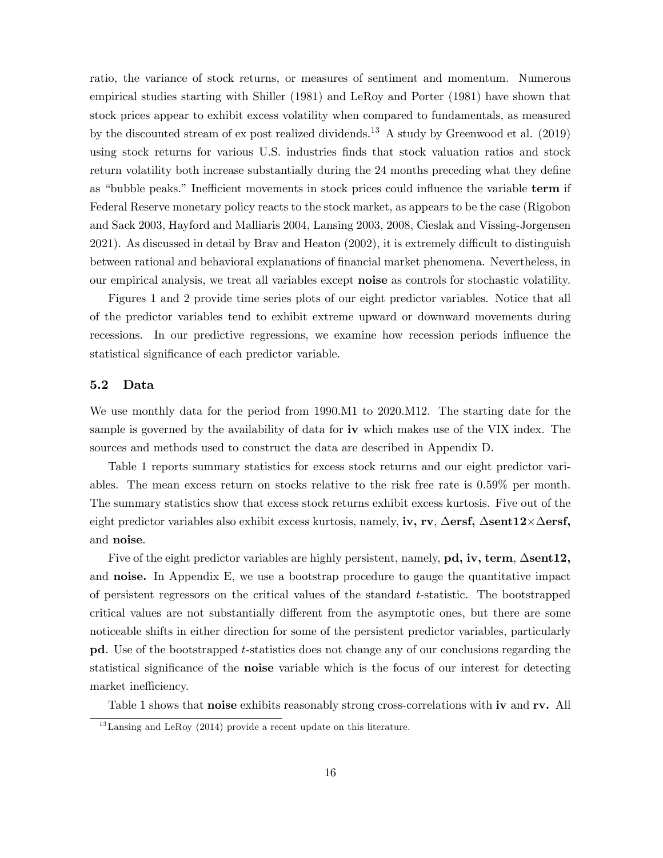ratio, the variance of stock returns, or measures of sentiment and momentum. Numerous empirical studies starting with Shiller (1981) and LeRoy and Porter (1981) have shown that stock prices appear to exhibit excess volatility when compared to fundamentals, as measured by the discounted stream of ex post realized dividends.<sup>13</sup> A study by Greenwood et al. (2019) using stock returns for various U.S. industries Önds that stock valuation ratios and stock return volatility both increase substantially during the 24 months preceding what they define as "bubble peaks." Inefficient movements in stock prices could influence the variable term if Federal Reserve monetary policy reacts to the stock market, as appears to be the case (Rigobon and Sack 2003, Hayford and Malliaris 2004, Lansing 2003, 2008, Cieslak and Vissing-Jorgensen  $2021$ ). As discussed in detail by Brav and Heaton  $(2002)$ , it is extremely difficult to distinguish between rational and behavioral explanations of financial market phenomena. Nevertheless, in our empirical analysis, we treat all variables except noise as controls for stochastic volatility.

Figures 1 and 2 provide time series plots of our eight predictor variables. Notice that all of the predictor variables tend to exhibit extreme upward or downward movements during recessions. In our predictive regressions, we examine how recession periods ináuence the statistical significance of each predictor variable.

#### 5.2 Data

We use monthly data for the period from 1990.M1 to 2020.M12. The starting date for the sample is governed by the availability of data for iv which makes use of the VIX index. The sources and methods used to construct the data are described in Appendix D.

Table 1 reports summary statistics for excess stock returns and our eight predictor variables. The mean excess return on stocks relative to the risk free rate is 0.59% per month. The summary statistics show that excess stock returns exhibit excess kurtosis. Five out of the eight predictor variables also exhibit excess kurtosis, namely, **iv, rv**,  $\Delta \textbf{ersf}, \Delta \textbf{sent12} \times \Delta \textbf{ersf},$ and noise.

Five of the eight predictor variables are highly persistent, namely,  $pd$ , iv, term,  $\Delta sent12$ , and **noise.** In Appendix E, we use a bootstrap procedure to gauge the quantitative impact of persistent regressors on the critical values of the standard  $t$ -statistic. The bootstrapped critical values are not substantially different from the asymptotic ones, but there are some noticeable shifts in either direction for some of the persistent predictor variables, particularly pd. Use of the bootstrapped t-statistics does not change any of our conclusions regarding the statistical significance of the **noise** variable which is the focus of our interest for detecting market inefficiency.

Table 1 shows that **noise** exhibits reasonably strong cross-correlations with **iv** and **rv.** All

 $13$ Lansing and LeRoy (2014) provide a recent update on this literature.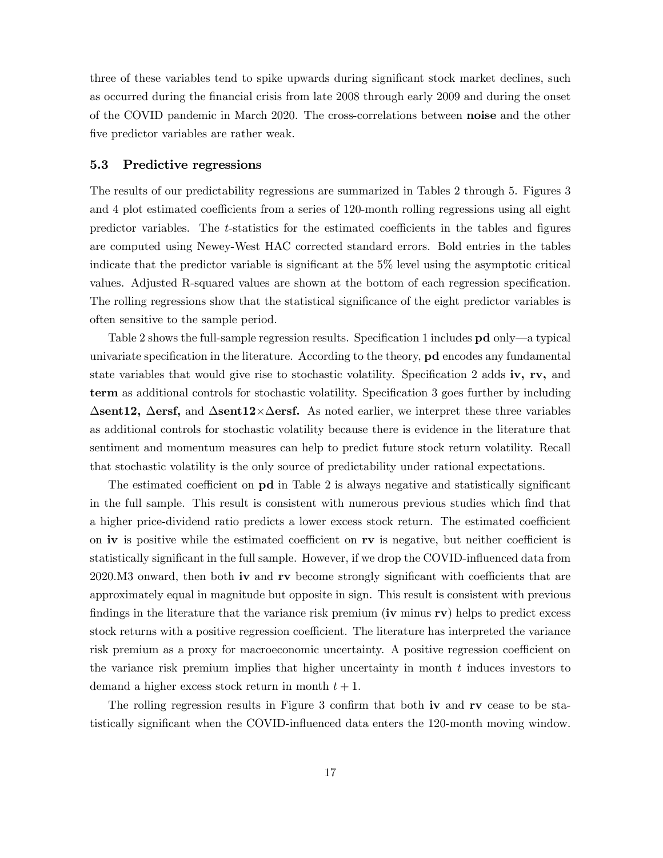three of these variables tend to spike upwards during significant stock market declines, such as occurred during the Önancial crisis from late 2008 through early 2009 and during the onset of the COVID pandemic in March 2020. The cross-correlations between noise and the other five predictor variables are rather weak.

#### 5.3 Predictive regressions

The results of our predictability regressions are summarized in Tables 2 through 5. Figures 3 and 4 plot estimated coefficients from a series of 120-month rolling regressions using all eight predictor variables. The  $t$ -statistics for the estimated coefficients in the tables and figures are computed using Newey-West HAC corrected standard errors. Bold entries in the tables indicate that the predictor variable is significant at the  $5\%$  level using the asymptotic critical values. Adjusted R-squared values are shown at the bottom of each regression specification. The rolling regressions show that the statistical significance of the eight predictor variables is often sensitive to the sample period.

Table 2 shows the full-sample regression results. Specification 1 includes  $pd$  only  $-a$  typical univariate specification in the literature. According to the theory,  $pd$  encodes any fundamental state variables that would give rise to stochastic volatility. Specification 2 adds iv, rv, and term as additional controls for stochastic volatility. Specification 3 goes further by including  $\Delta$ sent12,  $\Delta$ ersf, and  $\Delta$ sent12× $\Delta$ ersf. As noted earlier, we interpret these three variables as additional controls for stochastic volatility because there is evidence in the literature that sentiment and momentum measures can help to predict future stock return volatility. Recall that stochastic volatility is the only source of predictability under rational expectations.

The estimated coefficient on  $pd$  in Table 2 is always negative and statistically significant in the full sample. This result is consistent with numerous previous studies which find that a higher price-dividend ratio predicts a lower excess stock return. The estimated coefficient on  $iv$  is positive while the estimated coefficient on  $rv$  is negative, but neither coefficient is statistically significant in the full sample. However, if we drop the COVID-influenced data from  $2020.M3$  onward, then both iv and rv become strongly significant with coefficients that are approximately equal in magnitude but opposite in sign. This result is consistent with previous findings in the literature that the variance risk premium (iv minus  $rv$ ) helps to predict excess stock returns with a positive regression coefficient. The literature has interpreted the variance risk premium as a proxy for macroeconomic uncertainty. A positive regression coefficient on the variance risk premium implies that higher uncertainty in month  $t$  induces investors to demand a higher excess stock return in month  $t + 1$ .

The rolling regression results in Figure 3 confirm that both iv and  $rv$  cease to be statistically significant when the COVID-influenced data enters the 120-month moving window.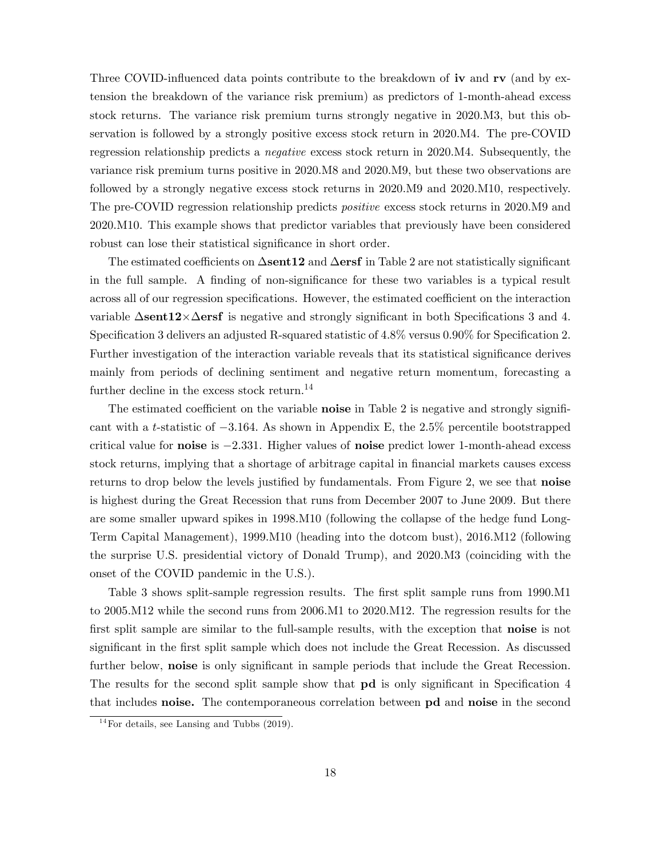Three COVID-influenced data points contribute to the breakdown of iv and  $\mathbf{rv}$  (and by extension the breakdown of the variance risk premium) as predictors of 1-month-ahead excess stock returns. The variance risk premium turns strongly negative in 2020.M3, but this observation is followed by a strongly positive excess stock return in 2020.M4. The pre-COVID regression relationship predicts a negative excess stock return in 2020.M4. Subsequently, the variance risk premium turns positive in 2020.M8 and 2020.M9, but these two observations are followed by a strongly negative excess stock returns in 2020.M9 and 2020.M10, respectively. The pre-COVID regression relationship predicts positive excess stock returns in 2020.M9 and 2020.M10. This example shows that predictor variables that previously have been considered robust can lose their statistical significance in short order.

The estimated coefficients on  $\Delta$ sent12 and  $\Delta$ ersf in Table 2 are not statistically significant in the full sample. A finding of non-significance for these two variables is a typical result across all of our regression specifications. However, the estimated coefficient on the interaction variable  $\Delta$ **sent12** $\times$  $\Delta$ **ersf** is negative and strongly significant in both Specifications 3 and 4. Specification 3 delivers an adjusted R-squared statistic of  $4.8\%$  versus 0.90% for Specification 2. Further investigation of the interaction variable reveals that its statistical significance derives mainly from periods of declining sentiment and negative return momentum, forecasting a further decline in the excess stock return.<sup>14</sup>

The estimated coefficient on the variable **noise** in Table 2 is negative and strongly significant with a t-statistic of  $-3.164$ . As shown in Appendix E, the 2.5% percentile bootstrapped critical value for noise is  $-2.331$ . Higher values of noise predict lower 1-month-ahead excess stock returns, implying that a shortage of arbitrage capital in financial markets causes excess returns to drop below the levels justified by fundamentals. From Figure 2, we see that **noise** is highest during the Great Recession that runs from December 2007 to June 2009. But there are some smaller upward spikes in 1998.M10 (following the collapse of the hedge fund Long-Term Capital Management), 1999.M10 (heading into the dotcom bust), 2016.M12 (following the surprise U.S. presidential victory of Donald Trump), and 2020.M3 (coinciding with the onset of the COVID pandemic in the U.S.).

Table 3 shows split-sample regression results. The first split sample runs from 1990.M1 to 2005.M12 while the second runs from 2006.M1 to 2020.M12. The regression results for the first split sample are similar to the full-sample results, with the exception that **noise** is not significant in the first split sample which does not include the Great Recession. As discussed further below, noise is only significant in sample periods that include the Great Recession. The results for the second split sample show that **pd** is only significant in Specification 4 that includes noise. The contemporaneous correlation between pd and noise in the second

 $14$ For details, see Lansing and Tubbs (2019).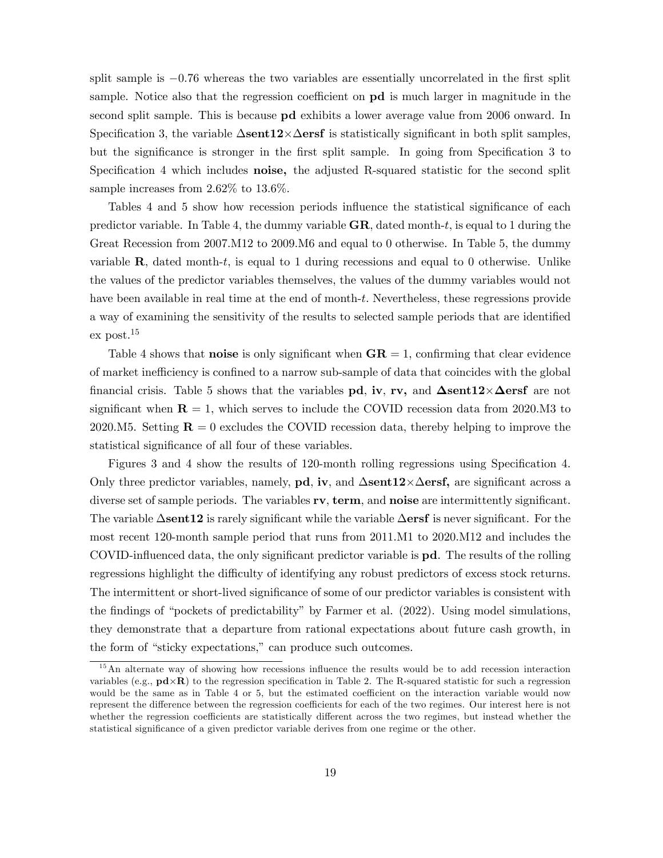split sample is  $-0.76$  whereas the two variables are essentially uncorrelated in the first split sample. Notice also that the regression coefficient on **pd** is much larger in magnitude in the second split sample. This is because pd exhibits a lower average value from 2006 onward. In Specification 3, the variable  $\Delta$ sent12 $\times \Delta$ ersf is statistically significant in both split samples, but the significance is stronger in the first split sample. In going from Specification 3 to Specification 4 which includes noise, the adjusted R-squared statistic for the second split sample increases from 2.62% to 13.6%.

Tables 4 and 5 show how recession periods influence the statistical significance of each predictor variable. In Table 4, the dummy variable  $GR$ , dated month-t, is equal to 1 during the Great Recession from 2007.M12 to 2009.M6 and equal to 0 otherwise. In Table 5, the dummy variable  $\bf{R}$ , dated month-t, is equal to 1 during recessions and equal to 0 otherwise. Unlike the values of the predictor variables themselves, the values of the dummy variables would not have been available in real time at the end of month-t. Nevertheless, these regressions provide a way of examining the sensitivity of the results to selected sample periods that are identified ex post.<sup>15</sup>

Table 4 shows that **noise** is only significant when  $GR = 1$ , confirming that clear evidence of market inefficiency is confined to a narrow sub-sample of data that coincides with the global financial crisis. Table 5 shows that the variables  $pd$ , iv, rv, and  $\Delta sent12\times \Delta erst$  are not significant when  $\mathbf{R} = 1$ , which serves to include the COVID recession data from 2020.M3 to 2020.M5. Setting  $\mathbf{R} = 0$  excludes the COVID recession data, thereby helping to improve the statistical significance of all four of these variables.

Figures 3 and 4 show the results of 120-month rolling regressions using Specification 4. Only three predictor variables, namely, **pd**, **iv**, and  $\Delta$ **sent12**× $\Delta$ **ersf**, are significant across a diverse set of sample periods. The variables  $\mathbf{rv}$ ,  $\mathbf{term}$ , and  $\mathbf{noise}$  are intermittently significant. The variable  $\Delta$ sent12 is rarely significant while the variable  $\Delta$ ersf is never significant. For the most recent 120-month sample period that runs from 2011.M1 to 2020.M12 and includes the COVID-influenced data, the only significant predictor variable is  $pd$ . The results of the rolling regressions highlight the difficulty of identifying any robust predictors of excess stock returns. The intermittent or short-lived significance of some of our predictor variables is consistent with the findings of "pockets of predictability" by Farmer et al. (2022). Using model simulations, they demonstrate that a departure from rational expectations about future cash growth, in the form of "sticky expectations," can produce such outcomes.

 $15$ An alternate way of showing how recessions influence the results would be to add recession interaction variables (e.g.,  $pd\times R$ ) to the regression specification in Table 2. The R-squared statistic for such a regression would be the same as in Table 4 or 5, but the estimated coefficient on the interaction variable would now represent the difference between the regression coefficients for each of the two regimes. Our interest here is not whether the regression coefficients are statistically different across the two regimes, but instead whether the statistical significance of a given predictor variable derives from one regime or the other.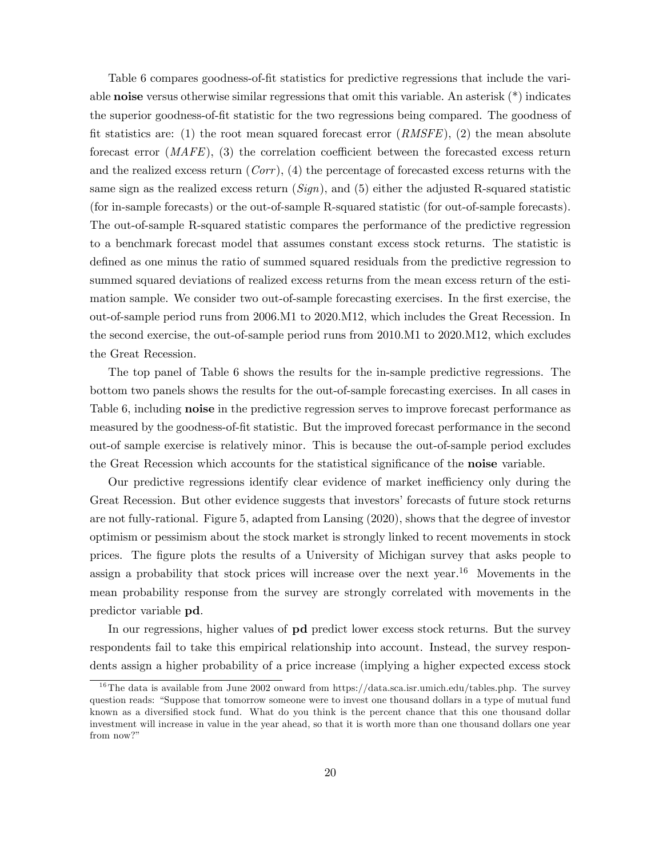Table 6 compares goodness-of-fit statistics for predictive regressions that include the variable **noise** versus otherwise similar regressions that omit this variable. An asterisk  $(*)$  indicates the superior goodness-of-Öt statistic for the two regressions being compared. The goodness of fit statistics are: (1) the root mean squared forecast error  $(RMSFE)$ , (2) the mean absolute forecast error  $(MAFE)$ , (3) the correlation coefficient between the forecasted excess return and the realized excess return  $(Corr)$ ,  $(4)$  the percentage of forecasted excess returns with the same sign as the realized excess return  $(Sign)$ , and (5) either the adjusted R-squared statistic (for in-sample forecasts) or the out-of-sample R-squared statistic (for out-of-sample forecasts). The out-of-sample R-squared statistic compares the performance of the predictive regression to a benchmark forecast model that assumes constant excess stock returns. The statistic is defined as one minus the ratio of summed squared residuals from the predictive regression to summed squared deviations of realized excess returns from the mean excess return of the estimation sample. We consider two out-of-sample forecasting exercises. In the first exercise, the out-of-sample period runs from 2006.M1 to 2020.M12, which includes the Great Recession. In the second exercise, the out-of-sample period runs from 2010.M1 to 2020.M12, which excludes the Great Recession.

The top panel of Table 6 shows the results for the in-sample predictive regressions. The bottom two panels shows the results for the out-of-sample forecasting exercises. In all cases in Table 6, including **noise** in the predictive regression serves to improve forecast performance as measured by the goodness-of-fit statistic. But the improved forecast performance in the second out-of sample exercise is relatively minor. This is because the out-of-sample period excludes the Great Recession which accounts for the statistical significance of the **noise** variable.

Our predictive regressions identify clear evidence of market inefficiency only during the Great Recession. But other evidence suggests that investors' forecasts of future stock returns are not fully-rational. Figure 5, adapted from Lansing (2020), shows that the degree of investor optimism or pessimism about the stock market is strongly linked to recent movements in stock prices. The figure plots the results of a University of Michigan survey that asks people to assign a probability that stock prices will increase over the next year.<sup>16</sup> Movements in the mean probability response from the survey are strongly correlated with movements in the predictor variable pd.

In our regressions, higher values of pd predict lower excess stock returns. But the survey respondents fail to take this empirical relationship into account. Instead, the survey respondents assign a higher probability of a price increase (implying a higher expected excess stock

<sup>&</sup>lt;sup>16</sup>The data is available from June 2002 onward from https://data.sca.isr.umich.edu/tables.php. The survey question reads: "Suppose that tomorrow someone were to invest one thousand dollars in a type of mutual fund known as a diversified stock fund. What do you think is the percent chance that this one thousand dollar investment will increase in value in the year ahead, so that it is worth more than one thousand dollars one year from now?"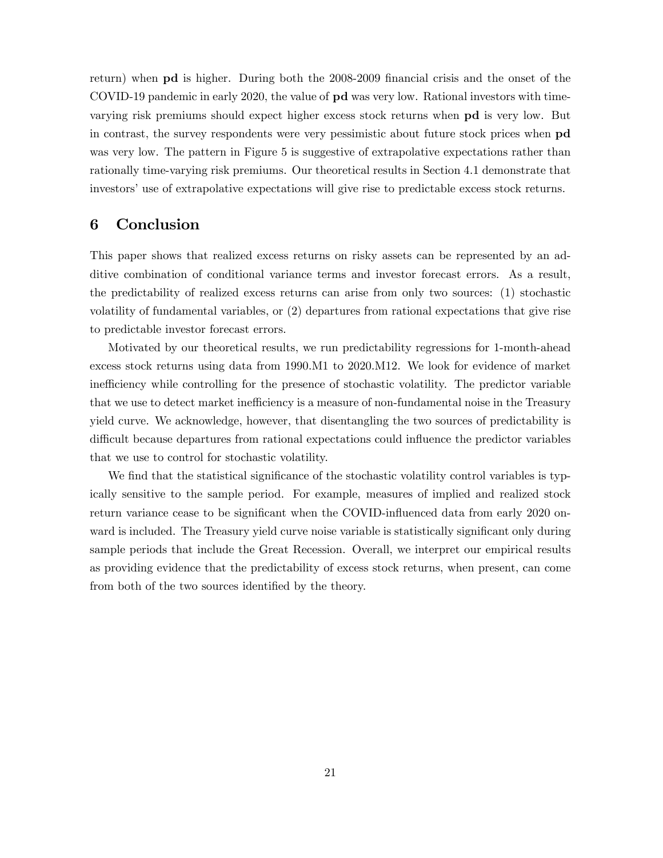return) when **pd** is higher. During both the 2008-2009 financial crisis and the onset of the COVID-19 pandemic in early 2020, the value of pd was very low. Rational investors with timevarying risk premiums should expect higher excess stock returns when pd is very low. But in contrast, the survey respondents were very pessimistic about future stock prices when pd was very low. The pattern in Figure 5 is suggestive of extrapolative expectations rather than rationally time-varying risk premiums. Our theoretical results in Section 4.1 demonstrate that investors' use of extrapolative expectations will give rise to predictable excess stock returns.

### 6 Conclusion

This paper shows that realized excess returns on risky assets can be represented by an additive combination of conditional variance terms and investor forecast errors. As a result, the predictability of realized excess returns can arise from only two sources: (1) stochastic volatility of fundamental variables, or (2) departures from rational expectations that give rise to predictable investor forecast errors.

Motivated by our theoretical results, we run predictability regressions for 1-month-ahead excess stock returns using data from 1990.M1 to 2020.M12. We look for evidence of market inefficiency while controlling for the presence of stochastic volatility. The predictor variable that we use to detect market inefficiency is a measure of non-fundamental noise in the Treasury yield curve. We acknowledge, however, that disentangling the two sources of predictability is difficult because departures from rational expectations could influence the predictor variables that we use to control for stochastic volatility.

We find that the statistical significance of the stochastic volatility control variables is typically sensitive to the sample period. For example, measures of implied and realized stock return variance cease to be significant when the COVID-influenced data from early 2020 onward is included. The Treasury yield curve noise variable is statistically significant only during sample periods that include the Great Recession. Overall, we interpret our empirical results as providing evidence that the predictability of excess stock returns, when present, can come from both of the two sources identified by the theory.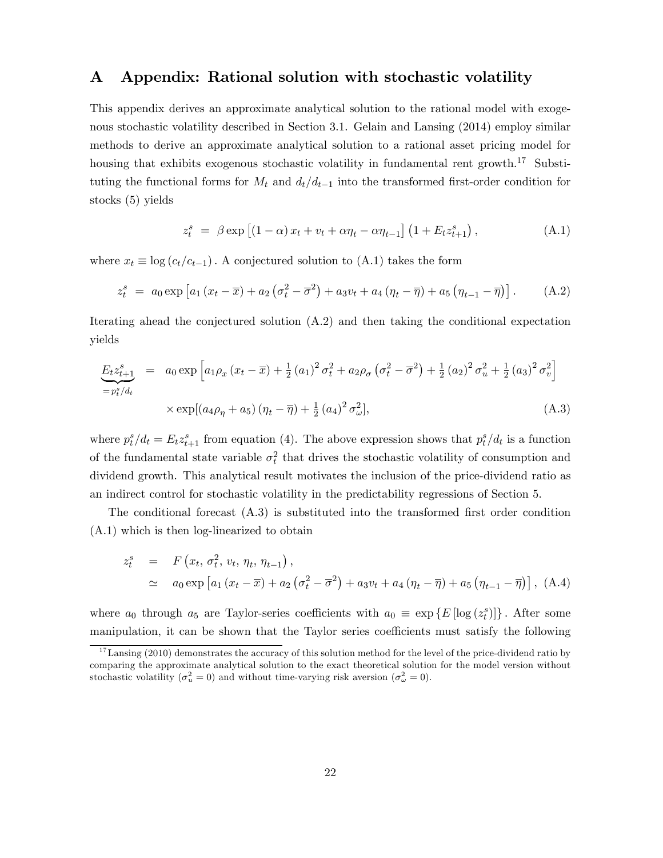### A Appendix: Rational solution with stochastic volatility

This appendix derives an approximate analytical solution to the rational model with exogenous stochastic volatility described in Section 3.1. Gelain and Lansing (2014) employ similar methods to derive an approximate analytical solution to a rational asset pricing model for housing that exhibits exogenous stochastic volatility in fundamental rent growth.<sup>17</sup> Substituting the functional forms for  $M_t$  and  $d_t/d_{t-1}$  into the transformed first-order condition for stocks (5) yields

$$
z_t^s = \beta \exp \left[ (1 - \alpha) x_t + v_t + \alpha \eta_t - \alpha \eta_{t-1} \right] \left( 1 + E_t z_{t+1}^s \right), \tag{A.1}
$$

where  $x_t \equiv \log (c_t/c_{t-1})$ . A conjectured solution to (A.1) takes the form

$$
z_t^s = a_0 \exp \left[ a_1 \left( x_t - \overline{x} \right) + a_2 \left( \sigma_t^2 - \overline{\sigma}^2 \right) + a_3 v_t + a_4 \left( \eta_t - \overline{\eta} \right) + a_5 \left( \eta_{t-1} - \overline{\eta} \right) \right]. \tag{A.2}
$$

Iterating ahead the conjectured solution (A.2) and then taking the conditional expectation yields

$$
\underbrace{E_{t}z_{t+1}^{s}}_{=p_{t}^{s}/d_{t}} = a_{0} \exp \left[a_{1}\rho_{x}\left(x_{t}-\overline{x}\right)+\frac{1}{2}\left(a_{1}\right)^{2}\sigma_{t}^{2}+a_{2}\rho_{\sigma}\left(\sigma_{t}^{2}-\overline{\sigma}^{2}\right)+\frac{1}{2}\left(a_{2}\right)^{2}\sigma_{u}^{2}+\frac{1}{2}\left(a_{3}\right)^{2}\sigma_{v}^{2}\right] \times \exp \left[\left(a_{4}\rho_{\eta}+a_{5}\right)\left(\eta_{t}-\overline{\eta}\right)+\frac{1}{2}\left(a_{4}\right)^{2}\sigma_{w}^{2}\right], \tag{A.3}
$$

where  $p_t^s/d_t = E_t z_{t+1}^s$  from equation (4). The above expression shows that  $p_t^s/d_t$  is a function of the fundamental state variable  $\sigma_t^2$  that drives the stochastic volatility of consumption and dividend growth. This analytical result motivates the inclusion of the price-dividend ratio as an indirect control for stochastic volatility in the predictability regressions of Section 5.

The conditional forecast  $(A.3)$  is substituted into the transformed first order condition (A.1) which is then log-linearized to obtain

$$
z_t^s = F(x_t, \sigma_t^2, v_t, \eta_t, \eta_{t-1}),
$$
  
\n
$$
\simeq a_0 \exp \left[ a_1 (x_t - \overline{x}) + a_2 (\sigma_t^2 - \overline{\sigma}^2) + a_3 v_t + a_4 (\eta_t - \overline{\eta}) + a_5 (\eta_{t-1} - \overline{\eta}) \right], (A.4)
$$

where  $a_0$  through  $a_5$  are Taylor-series coefficients with  $a_0 \equiv \exp\{E[\log(z_t^s)]\}$ . After some manipulation, it can be shown that the Taylor series coefficients must satisfy the following

<sup>&</sup>lt;sup>17</sup>Lansing (2010) demonstrates the accuracy of this solution method for the level of the price-dividend ratio by comparing the approximate analytical solution to the exact theoretical solution for the model version without stochastic volatility  $(\sigma_u^2 = 0)$  and without time-varying risk aversion  $(\sigma_\omega^2 = 0)$ .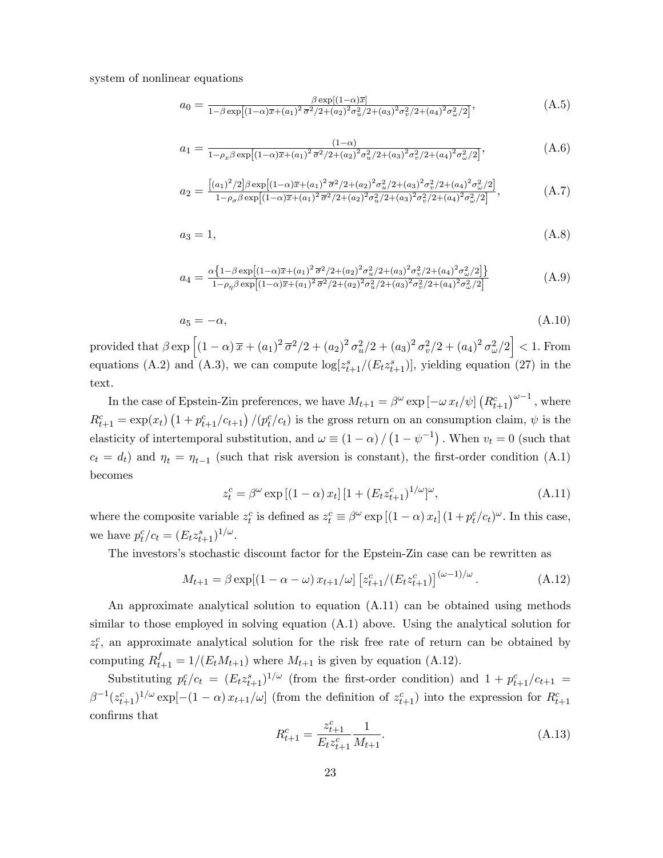system of nonlinear equations

$$
a_0 = \frac{\beta \exp[(1-\alpha)\overline{x}]}{1-\beta \exp[(1-\alpha)\overline{x}+(a_1)^2\overline{\sigma}^2/2+(a_2)^2\sigma_u^2/2+(a_3)^2\sigma_v^2/2+(a_4)^2\sigma_\omega^2/2]},
$$
(A.5)

$$
a_1 = \frac{(1-\alpha)}{1-\rho_x \beta \exp\left[ (1-\alpha)\overline{x} + (a_1)^2 \overline{\sigma}^2 / 2 + (a_2)^2 \sigma_u^2 / 2 + (a_3)^2 \sigma_v^2 / 2 + (a_4)^2 \sigma_\omega^2 / 2 \right]},
$$
(A.6)

$$
a_2 = \frac{[(a_1)^2/2]\beta \exp[(1-\alpha)\overline{x}+(a_1)^2\overline{\sigma}^2/2+(a_2)^2\sigma_u^2/2+(a_3)^2\sigma_v^2/2+(a_4)^2\sigma_\omega^2/2]}{1-\rho_\sigma\beta \exp[(1-\alpha)\overline{x}+(a_1)^2\overline{\sigma}^2/2+(a_2)^2\sigma_u^2/2+(a_3)^2\sigma_v^2/2+(a_4)^2\sigma_\omega^2/2]},
$$
(A.7)

$$
a_3 = 1,\tag{A.8}
$$

$$
a_4 = \frac{\alpha \left\{ 1 - \beta \exp\left[ (1 - \alpha)\overline{x} + (a_1)^2 \overline{\sigma}^2 / 2 + (a_2)^2 \sigma_u^2 / 2 + (a_3)^2 \sigma_v^2 / 2 + (a_4)^2 \sigma_\omega^2 / 2 \right] \right\}}{1 - \rho_\eta \beta \exp\left[ (1 - \alpha)\overline{x} + (a_1)^2 \overline{\sigma}^2 / 2 + (a_2)^2 \sigma_u^2 / 2 + (a_3)^2 \sigma_v^2 / 2 + (a_4)^2 \sigma_\omega^2 / 2 \right]}
$$
(A.9)

$$
a_5 = -\alpha,\tag{A.10}
$$

provided that  $\beta \exp \left[ (1-\alpha) \, \overline{x} + (a_1)^2 \, \overline{\sigma}^2 / 2 + (a_2)^2 \, \sigma_u^2 / 2 + (a_3)^2 \, \sigma_v^2 / 2 + (a_4)^2 \, \sigma_\omega^2 / 2 \right] < 1$ . From equations (A.2) and (A.3), we can compute  $\log[z_{t+1}^s/(E_t z_{t+1}^s)],$  yielding equation (27) in the text.

In the case of Epstein-Zin preferences, we have  $M_{t+1} = \beta^{\omega} \exp \left[-\omega x_t/\psi\right] \left(R_{t+1}^c\right)^{\omega-1}$ , where  $R_{t+1}^c = \exp(x_t) \left(1 + p_{t+1}^c / c_{t+1}\right) / (p_t^c / c_t)$  is the gross return on an consumption claim,  $\psi$  is the elasticity of intertemporal substitution, and  $\omega \equiv (1 - \alpha) / (1 - \psi^{-1})$ . When  $v_t = 0$  (such that  $c_t = d_t$ ) and  $\eta_t = \eta_{t-1}$  (such that risk aversion is constant), the first-order condition (A.1) becomes

$$
z_t^c = \beta^{\omega} \exp\left[ (1 - \alpha) x_t \right] \left[ 1 + (E_t z_{t+1}^c)^{1/\omega} \right]^{\omega},\tag{A.11}
$$

where the composite variable  $z_t^c$  is defined as  $z_t^c \equiv \beta^{\omega} \exp[(1-\alpha)x_t](1+p_t^c/c_t)^{\omega}$ . In this case, we have  $p_t^c/c_t = (E_t z_{t+1}^s)^{1/\omega}$ .

The investors's stochastic discount factor for the Epstein-Zin case can be rewritten as

$$
M_{t+1} = \beta \exp[(1 - \alpha - \omega) x_{t+1}/\omega] \left[ z_{t+1}^c/(E_t z_{t+1}^c) \right]^{(\omega - 1)/\omega}.
$$
 (A.12)

An approximate analytical solution to equation (A.11) can be obtained using methods similar to those employed in solving equation (A.1) above. Using the analytical solution for  $z_t^c$ , an approximate analytical solution for the risk free rate of return can be obtained by computing  $R_{t+1}^f = 1/(E_t M_{t+1})$  where  $M_{t+1}$  is given by equation (A.12).

Substituting  $p_t^c/c_t = (E_t z_{t+1}^s)^{1/\omega}$  (from the first-order condition) and  $1 + p_{t+1}^c/c_{t+1} =$  $\beta^{-1}(z_{t+1}^c)^{1/\omega} \exp[-(1-\alpha)x_{t+1}/\omega]$  (from the definition of  $z_{t+1}^c$ ) into the expression for  $R_{t+1}^c$ confirms that

$$
R_{t+1}^c = \frac{z_{t+1}^c}{E_t z_{t+1}^c} \frac{1}{M_{t+1}}.\tag{A.13}
$$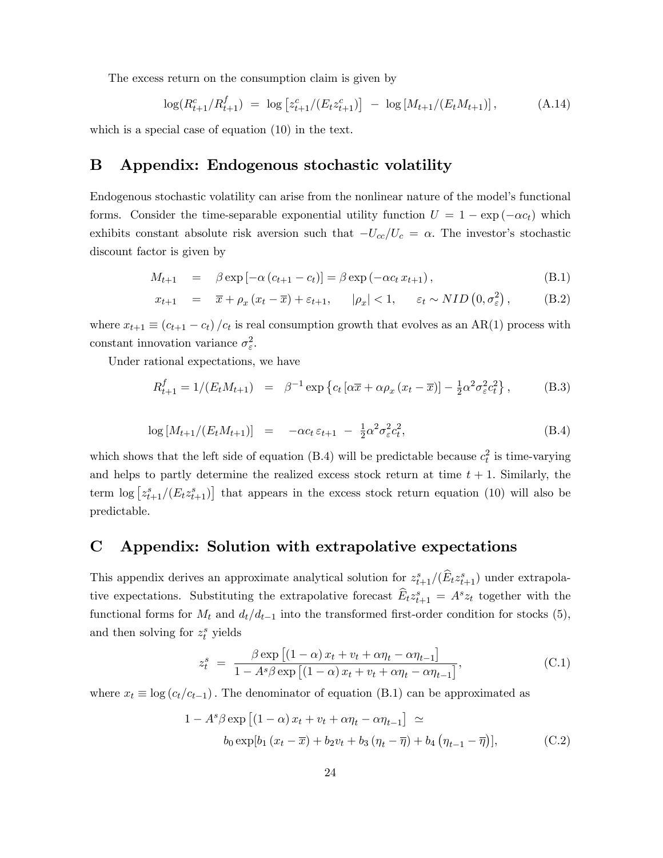The excess return on the consumption claim is given by

$$
\log(R_{t+1}^c/R_{t+1}^f) = \log\left[z_{t+1}^c/(E_t z_{t+1}^c)\right] - \log\left[M_{t+1}/(E_t M_{t+1})\right],\tag{A.14}
$$

which is a special case of equation (10) in the text.

### B Appendix: Endogenous stochastic volatility

Endogenous stochastic volatility can arise from the nonlinear nature of the model's functional forms. Consider the time-separable exponential utility function  $U = 1 - \exp(-\alpha c_t)$  which exhibits constant absolute risk aversion such that  $-U_{cc}/U_c = \alpha$ . The investor's stochastic discount factor is given by

$$
M_{t+1} = \beta \exp[-\alpha (c_{t+1} - c_t)] = \beta \exp(-\alpha c_t x_{t+1}), \qquad (B.1)
$$

$$
x_{t+1} = \overline{x} + \rho_x (x_t - \overline{x}) + \varepsilon_{t+1}, \qquad |\rho_x| < 1, \qquad \varepsilon_t \sim NID\left(0, \sigma_\varepsilon^2\right), \tag{B.2}
$$

where  $x_{t+1} \equiv (c_{t+1} - c_t) / c_t$  is real consumption growth that evolves as an AR(1) process with constant innovation variance  $\sigma_{\varepsilon}^2$ .

Under rational expectations, we have

$$
R_{t+1}^{f} = 1/(E_t M_{t+1}) = \beta^{-1} \exp \left\{ c_t \left[ \alpha \overline{x} + \alpha \rho_x \left( x_t - \overline{x} \right) \right] - \frac{1}{2} \alpha^2 \sigma_{\varepsilon}^2 c_t^2 \right\},\tag{B.3}
$$

$$
\log\left[M_{t+1}/(E_t M_{t+1})\right] = -\alpha c_t \, \varepsilon_{t+1} - \frac{1}{2} \alpha^2 \sigma_\varepsilon^2 c_t^2,\tag{B.4}
$$

which shows that the left side of equation (B.4) will be predictable because  $c_t^2$  is time-varying and helps to partly determine the realized excess stock return at time  $t + 1$ . Similarly, the term  $\log \left[ z_{t+1}^s/(E_t z_{t+1}^s) \right]$  that appears in the excess stock return equation (10) will also be predictable.

### C Appendix: Solution with extrapolative expectations

This appendix derives an approximate analytical solution for  $z_{t+1}^s/(\widehat{E}_t z_{t+1}^s)$  under extrapolative expectations. Substituting the extrapolative forecast  $\widehat{E}_t z_{t+1}^s = A^s z_t$  together with the functional forms for  $M_t$  and  $d_t/d_{t-1}$  into the transformed first-order condition for stocks (5), and then solving for  $z_t^s$  yields

$$
z_t^s = \frac{\beta \exp\left[ (1 - \alpha) x_t + v_t + \alpha \eta_t - \alpha \eta_{t-1} \right]}{1 - A^s \beta \exp\left[ (1 - \alpha) x_t + v_t + \alpha \eta_t - \alpha \eta_{t-1} \right]},
$$
(C.1)

where  $x_t \equiv \log (c_t/c_{t-1})$ . The denominator of equation (B.1) can be approximated as

$$
1 - As \beta \exp \left[ (1 - \alpha) x_t + v_t + \alpha \eta_t - \alpha \eta_{t-1} \right] \simeq
$$
  
\n
$$
b_0 \exp[b_1 (x_t - \overline{x}) + b_2 v_t + b_3 (\eta_t - \overline{\eta}) + b_4 (\eta_{t-1} - \overline{\eta})],
$$
 (C.2)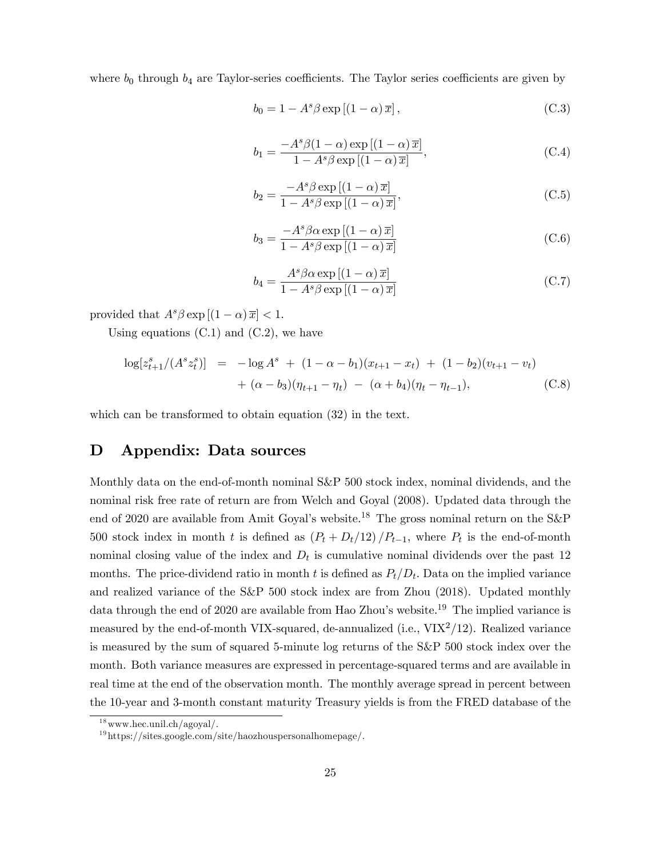where  $b_0$  through  $b_4$  are Taylor-series coefficients. The Taylor series coefficients are given by

$$
b_0 = 1 - A^s \beta \exp\left[ (1 - \alpha) \overline{x} \right],\tag{C.3}
$$

$$
b_1 = \frac{-A^s \beta (1 - \alpha) \exp\left[ (1 - \alpha) \overline{x} \right]}{1 - A^s \beta \exp\left[ (1 - \alpha) \overline{x} \right]},
$$
 (C.4)

$$
b_2 = \frac{-A^s \beta \exp\left[(1-\alpha)\,\overline{x}\right]}{1 - A^s \beta \exp\left[(1-\alpha)\,\overline{x}\right]},\tag{C.5}
$$

$$
b_3 = \frac{-A^s \beta \alpha \exp\left[(1-\alpha)\,\overline{x}\right]}{1 - A^s \beta \exp\left[(1-\alpha)\,\overline{x}\right]}
$$
(C.6)

$$
b_4 = \frac{A^s \beta \alpha \exp\left[ (1 - \alpha) \overline{x} \right]}{1 - A^s \beta \exp\left[ (1 - \alpha) \overline{x} \right]}
$$
(C.7)

provided that  $A^s\beta \exp[(1-\alpha)\overline{x}] < 1$ .

Using equations  $(C.1)$  and  $(C.2)$ , we have

$$
\log[z_{t+1}^s/(A^s z_t^s)] = -\log A^s + (1 - \alpha - b_1)(x_{t+1} - x_t) + (1 - b_2)(v_{t+1} - v_t) + (\alpha - b_3)(\eta_{t+1} - \eta_t) - (\alpha + b_4)(\eta_t - \eta_{t-1}),
$$
 (C.8)

which can be transformed to obtain equation  $(32)$  in the text.

### D Appendix: Data sources

Monthly data on the end-of-month nominal S&P 500 stock index, nominal dividends, and the nominal risk free rate of return are from Welch and Goyal (2008). Updated data through the end of 2020 are available from Amit Goyal's website.<sup>18</sup> The gross nominal return on the S&P 500 stock index in month t is defined as  $(P_t + D_t/12)/P_{t-1}$ , where  $P_t$  is the end-of-month nominal closing value of the index and  $D_t$  is cumulative nominal dividends over the past 12 months. The price-dividend ratio in month t is defined as  $P_t/D_t$ . Data on the implied variance and realized variance of the S&P 500 stock index are from Zhou (2018). Updated monthly data through the end of 2020 are available from Hao Zhou's website.<sup>19</sup> The implied variance is measured by the end-of-month VIX-squared, de-annualized (i.e.,  $VIX^2/12$ ). Realized variance is measured by the sum of squared 5-minute log returns of the S&P 500 stock index over the month. Both variance measures are expressed in percentage-squared terms and are available in real time at the end of the observation month. The monthly average spread in percent between the 10-year and 3-month constant maturity Treasury yields is from the FRED database of the

 $18$ www.hec.unil.ch/agoyal/.

 $19$ https://sites.google.com/site/haozhouspersonalhomepage/.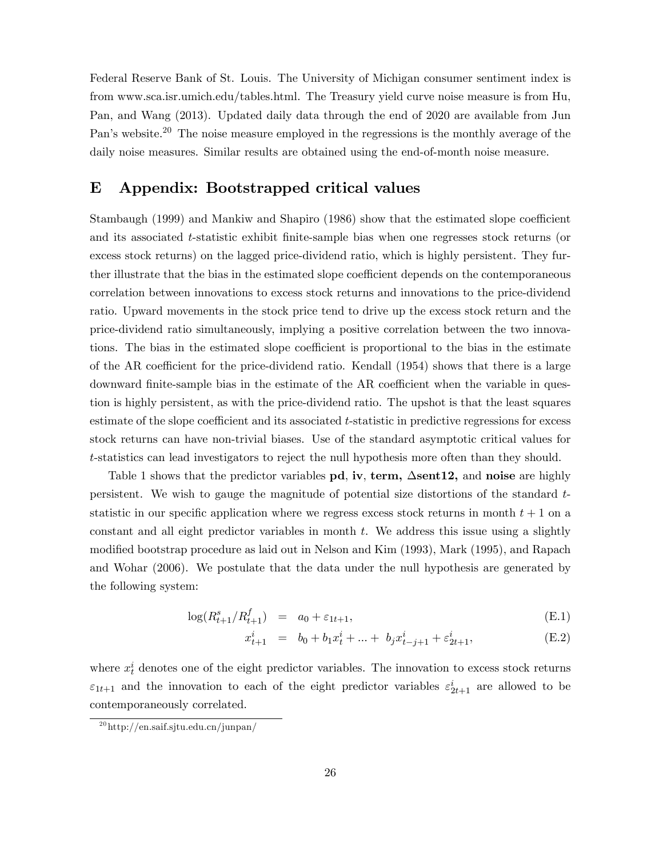Federal Reserve Bank of St. Louis. The University of Michigan consumer sentiment index is from www.sca.isr.umich.edu/tables.html. The Treasury yield curve noise measure is from Hu, Pan, and Wang (2013). Updated daily data through the end of 2020 are available from Jun Pan's website.<sup>20</sup> The noise measure employed in the regressions is the monthly average of the daily noise measures. Similar results are obtained using the end-of-month noise measure.

### E Appendix: Bootstrapped critical values

Stambaugh (1999) and Mankiw and Shapiro (1986) show that the estimated slope coefficient and its associated t-statistic exhibit finite-sample bias when one regresses stock returns (or excess stock returns) on the lagged price-dividend ratio, which is highly persistent. They further illustrate that the bias in the estimated slope coefficient depends on the contemporaneous correlation between innovations to excess stock returns and innovations to the price-dividend ratio. Upward movements in the stock price tend to drive up the excess stock return and the price-dividend ratio simultaneously, implying a positive correlation between the two innovations. The bias in the estimated slope coefficient is proportional to the bias in the estimate of the AR coefficient for the price-dividend ratio. Kendall  $(1954)$  shows that there is a large downward finite-sample bias in the estimate of the AR coefficient when the variable in question is highly persistent, as with the price-dividend ratio. The upshot is that the least squares estimate of the slope coefficient and its associated t-statistic in predictive regressions for excess stock returns can have non-trivial biases. Use of the standard asymptotic critical values for t-statistics can lead investigators to reject the null hypothesis more often than they should.

Table 1 shows that the predictor variables  $pd$ , iv, term,  $\Delta$ sent12, and noise are highly persistent. We wish to gauge the magnitude of potential size distortions of the standard  $t$ statistic in our specific application where we regress excess stock returns in month  $t + 1$  on a constant and all eight predictor variables in month  $t$ . We address this issue using a slightly modified bootstrap procedure as laid out in Nelson and Kim (1993), Mark (1995), and Rapach and Wohar (2006). We postulate that the data under the null hypothesis are generated by the following system:

$$
\log(R_{t+1}^s/R_{t+1}^f) = a_0 + \varepsilon_{1t+1},
$$
\n(E.1)

$$
x_{t+1}^i = b_0 + b_1 x_t^i + \dots + b_j x_{t-j+1}^i + \varepsilon_{2t+1}^i,
$$
 (E.2)

where  $x_t^i$  denotes one of the eight predictor variables. The innovation to excess stock returns  $\varepsilon_{1t+1}$  and the innovation to each of the eight predictor variables  $\varepsilon_{2t+1}^i$  are allowed to be contemporaneously correlated.

<sup>20</sup>http://en.saif.sjtu.edu.cn/junpan/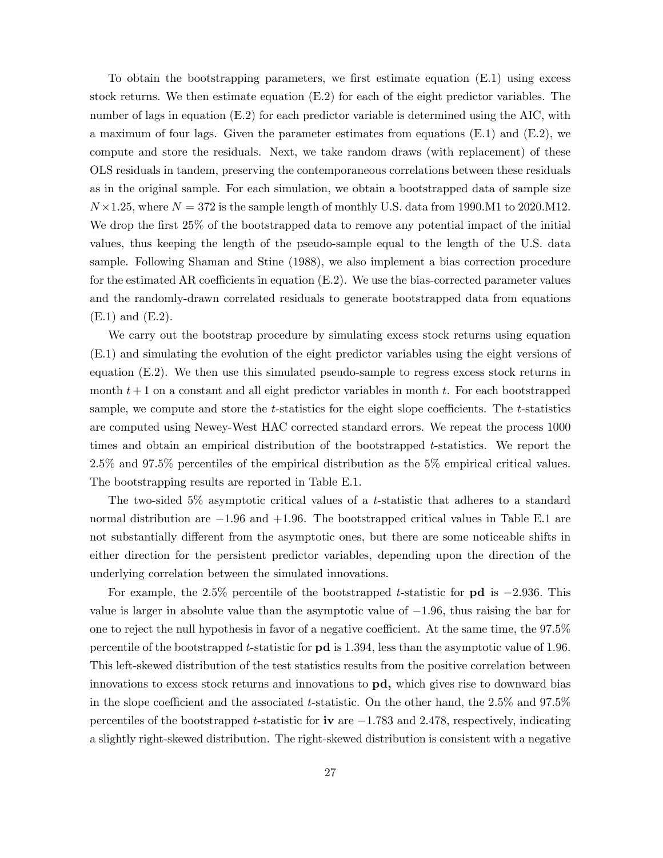To obtain the bootstrapping parameters, we first estimate equation  $(E.1)$  using excess stock returns. We then estimate equation (E.2) for each of the eight predictor variables. The number of lags in equation  $(E.2)$  for each predictor variable is determined using the AIC, with a maximum of four lags. Given the parameter estimates from equations (E.1) and (E.2), we compute and store the residuals. Next, we take random draws (with replacement) of these OLS residuals in tandem, preserving the contemporaneous correlations between these residuals as in the original sample. For each simulation, we obtain a bootstrapped data of sample size  $N \times 1.25$ , where  $N = 372$  is the sample length of monthly U.S. data from 1990.M1 to 2020.M12. We drop the first 25% of the bootstrapped data to remove any potential impact of the initial values, thus keeping the length of the pseudo-sample equal to the length of the U.S. data sample. Following Shaman and Stine (1988), we also implement a bias correction procedure for the estimated AR coefficients in equation  $(E.2)$ . We use the bias-corrected parameter values and the randomly-drawn correlated residuals to generate bootstrapped data from equations (E.1) and (E.2).

We carry out the bootstrap procedure by simulating excess stock returns using equation (E.1) and simulating the evolution of the eight predictor variables using the eight versions of equation (E.2). We then use this simulated pseudo-sample to regress excess stock returns in month  $t + 1$  on a constant and all eight predictor variables in month t. For each bootstrapped sample, we compute and store the  $t$ -statistics for the eight slope coefficients. The  $t$ -statistics are computed using Newey-West HAC corrected standard errors. We repeat the process 1000 times and obtain an empirical distribution of the bootstrapped t-statistics. We report the 2.5% and 97.5% percentiles of the empirical distribution as the 5% empirical critical values. The bootstrapping results are reported in Table E.1.

The two-sided  $5\%$  asymptotic critical values of a t-statistic that adheres to a standard normal distribution are  $-1.96$  and  $+1.96$ . The bootstrapped critical values in Table E.1 are not substantially different from the asymptotic ones, but there are some noticeable shifts in either direction for the persistent predictor variables, depending upon the direction of the underlying correlation between the simulated innovations.

For example, the 2.5% percentile of the bootstrapped t-statistic for  $\mathbf{p}\mathbf{d}$  is  $-2.936$ . This value is larger in absolute value than the asymptotic value of  $-1.96$ , thus raising the bar for one to reject the null hypothesis in favor of a negative coefficient. At the same time, the  $97.5\%$ percentile of the bootstrapped t-statistic for pd is 1:394, less than the asymptotic value of 1:96. This left-skewed distribution of the test statistics results from the positive correlation between innovations to excess stock returns and innovations to pd, which gives rise to downward bias in the slope coefficient and the associated t-statistic. On the other hand, the  $2.5\%$  and  $97.5\%$ percentiles of the bootstrapped t-statistic for  $\mathbf{iv}$  are  $-1.783$  and 2.478, respectively, indicating a slightly right-skewed distribution. The right-skewed distribution is consistent with a negative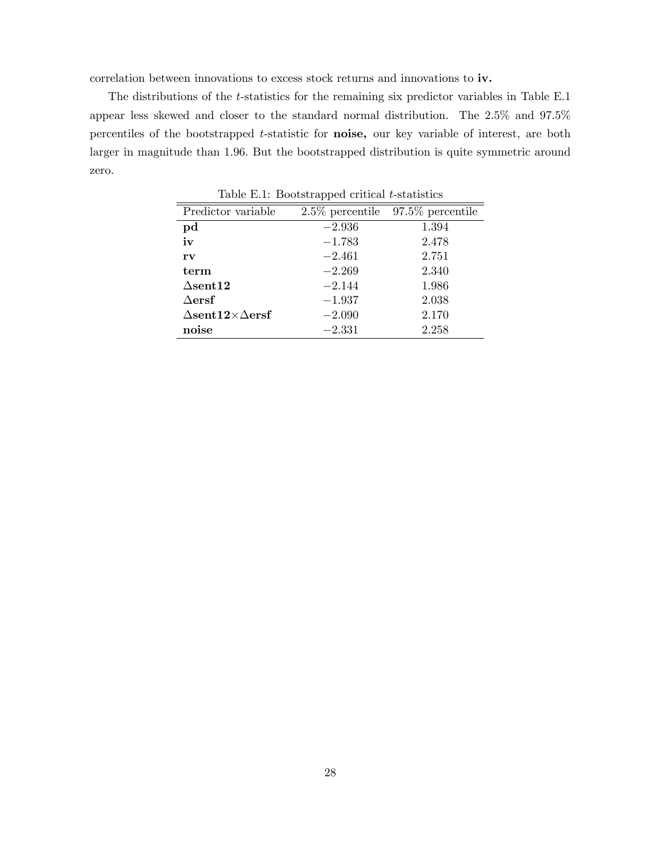correlation between innovations to excess stock returns and innovations to iv.

The distributions of the *t*-statistics for the remaining six predictor variables in Table E.1 appear less skewed and closer to the standard normal distribution. The 2:5% and 97:5% percentiles of the bootstrapped t-statistic for noise, our key variable of interest, are both larger in magnitude than 1:96: But the bootstrapped distribution is quite symmetric around zero.

| Predictor variable             | $2.5\%$ percentile | $97.5\%$ percentile |
|--------------------------------|--------------------|---------------------|
| pd                             | $-2.936$           | 1.394               |
| iv                             | $-1.783$           | 2.478               |
| rv                             | $-2.461$           | 2.751               |
| term                           | $-2.269$           | 2.340               |
| $\Delta$ sent $12$             | $-2.144$           | 1.986               |
| $\Delta \mathbf{ersf}$         | $-1.937$           | 2.038               |
| $\Delta$ sent12× $\Delta$ ersf | $-2.090$           | 2.170               |
| noise                          | $-2.331$           | 2.258               |

Table E.1: Bootstrapped critical t-statistics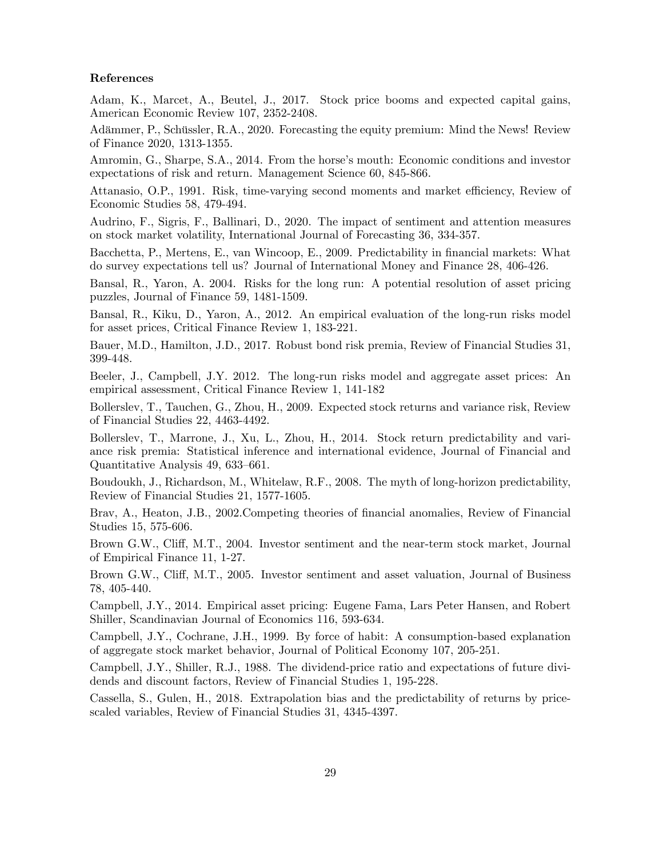#### References

Adam, K., Marcet, A., Beutel, J., 2017. Stock price booms and expected capital gains, American Economic Review 107, 2352-2408.

Adämmer, P., Schüssler, R.A., 2020. Forecasting the equity premium: Mind the News! Review of Finance 2020, 1313-1355.

Amromin, G., Sharpe, S.A., 2014. From the horse's mouth: Economic conditions and investor expectations of risk and return. Management Science 60, 845-866.

Attanasio, O.P., 1991. Risk, time-varying second moments and market efficiency, Review of Economic Studies 58, 479-494.

Audrino, F., Sigris, F., Ballinari, D., 2020. The impact of sentiment and attention measures on stock market volatility, International Journal of Forecasting 36, 334-357.

Bacchetta, P., Mertens, E., van Wincoop, E., 2009. Predictability in Önancial markets: What do survey expectations tell us? Journal of International Money and Finance 28, 406-426.

Bansal, R., Yaron, A. 2004. Risks for the long run: A potential resolution of asset pricing puzzles, Journal of Finance 59, 1481-1509.

Bansal, R., Kiku, D., Yaron, A., 2012. An empirical evaluation of the long-run risks model for asset prices, Critical Finance Review 1, 183-221.

Bauer, M.D., Hamilton, J.D., 2017. Robust bond risk premia, Review of Financial Studies 31, 399-448.

Beeler, J., Campbell, J.Y. 2012. The long-run risks model and aggregate asset prices: An empirical assessment, Critical Finance Review 1, 141-182

Bollerslev, T., Tauchen, G., Zhou, H., 2009. Expected stock returns and variance risk, Review of Financial Studies 22, 4463-4492.

Bollerslev, T., Marrone, J., Xu, L., Zhou, H., 2014. Stock return predictability and variance risk premia: Statistical inference and international evidence, Journal of Financial and Quantitative Analysis 49, 633–661.

Boudoukh, J., Richardson, M., Whitelaw, R.F., 2008. The myth of long-horizon predictability, Review of Financial Studies 21, 1577-1605.

Brav, A., Heaton, J.B., 2002.Competing theories of Önancial anomalies, Review of Financial Studies 15, 575-606.

Brown G.W., Cliff, M.T., 2004. Investor sentiment and the near-term stock market, Journal of Empirical Finance 11, 1-27.

Brown G.W., Cliff, M.T., 2005. Investor sentiment and asset valuation, Journal of Business 78, 405-440.

Campbell, J.Y., 2014. Empirical asset pricing: Eugene Fama, Lars Peter Hansen, and Robert Shiller, Scandinavian Journal of Economics 116, 593-634.

Campbell, J.Y., Cochrane, J.H., 1999. By force of habit: A consumption-based explanation of aggregate stock market behavior, Journal of Political Economy 107, 205-251.

Campbell, J.Y., Shiller, R.J., 1988. The dividend-price ratio and expectations of future dividends and discount factors, Review of Financial Studies 1, 195-228.

Cassella, S., Gulen, H., 2018. Extrapolation bias and the predictability of returns by pricescaled variables, Review of Financial Studies 31, 4345-4397.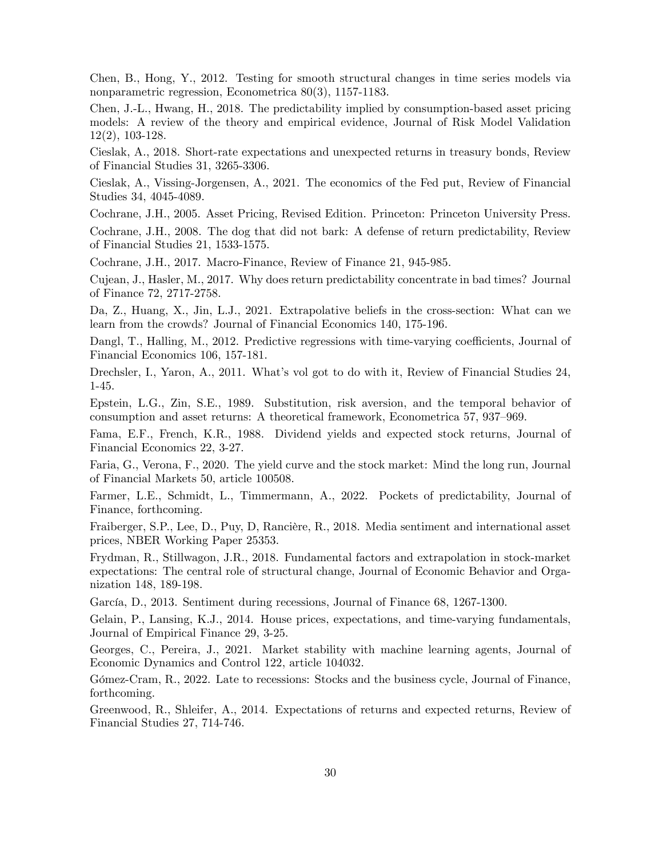Chen, B., Hong, Y., 2012. Testing for smooth structural changes in time series models via nonparametric regression, Econometrica 80(3), 1157-1183.

Chen, J.-L., Hwang, H., 2018. The predictability implied by consumption-based asset pricing models: A review of the theory and empirical evidence, Journal of Risk Model Validation 12(2), 103-128.

Cieslak, A., 2018. Short-rate expectations and unexpected returns in treasury bonds, Review of Financial Studies 31, 3265-3306.

Cieslak, A., Vissing-Jorgensen, A., 2021. The economics of the Fed put, Review of Financial Studies 34, 4045-4089.

Cochrane, J.H., 2005. Asset Pricing, Revised Edition. Princeton: Princeton University Press.

Cochrane, J.H., 2008. The dog that did not bark: A defense of return predictability, Review of Financial Studies 21, 1533-1575.

Cochrane, J.H., 2017. Macro-Finance, Review of Finance 21, 945-985.

Cujean, J., Hasler, M., 2017. Why does return predictability concentrate in bad times? Journal of Finance 72, 2717-2758.

Da, Z., Huang, X., Jin, L.J., 2021. Extrapolative beliefs in the cross-section: What can we learn from the crowds? Journal of Financial Economics 140, 175-196.

Dangl, T., Halling, M., 2012. Predictive regressions with time-varying coefficients, Journal of Financial Economics 106, 157-181.

Drechsler, I., Yaron, A., 2011. What's vol got to do with it, Review of Financial Studies 24, 1-45.

Epstein, L.G., Zin, S.E., 1989. Substitution, risk aversion, and the temporal behavior of consumption and asset returns: A theoretical framework, Econometrica 57, 937–969.

Fama, E.F., French, K.R., 1988. Dividend yields and expected stock returns, Journal of Financial Economics 22, 3-27.

Faria, G., Verona, F., 2020. The yield curve and the stock market: Mind the long run, Journal of Financial Markets 50, article 100508.

Farmer, L.E., Schmidt, L., Timmermann, A., 2022. Pockets of predictability, Journal of Finance, forthcoming.

Fraiberger, S.P., Lee, D., Puy, D., Rancière, R., 2018. Media sentiment and international asset prices, NBER Working Paper 25353.

Frydman, R., Stillwagon, J.R., 2018. Fundamental factors and extrapolation in stock-market expectations: The central role of structural change, Journal of Economic Behavior and Organization 148, 189-198.

García, D., 2013. Sentiment during recessions, Journal of Finance 68, 1267-1300.

Gelain, P., Lansing, K.J., 2014. House prices, expectations, and time-varying fundamentals, Journal of Empirical Finance 29, 3-25.

Georges, C., Pereira, J., 2021. Market stability with machine learning agents, Journal of Economic Dynamics and Control 122, article 104032.

Gómez-Cram, R., 2022. Late to recessions: Stocks and the business cycle, Journal of Finance, forthcoming.

Greenwood, R., Shleifer, A., 2014. Expectations of returns and expected returns, Review of Financial Studies 27, 714-746.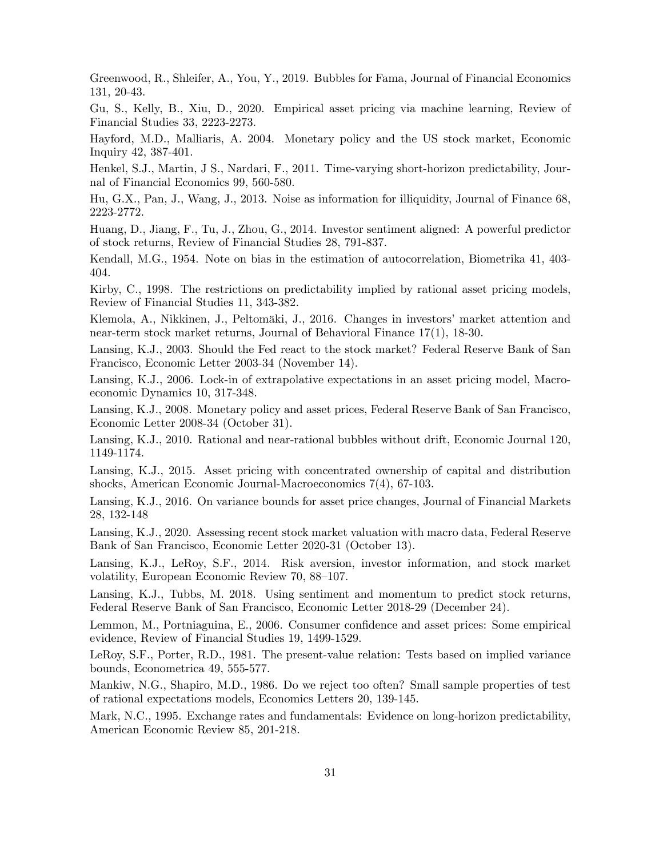Greenwood, R., Shleifer, A., You, Y., 2019. Bubbles for Fama, Journal of Financial Economics 131, 20-43.

Gu, S., Kelly, B., Xiu, D., 2020. Empirical asset pricing via machine learning, Review of Financial Studies 33, 2223-2273.

Hayford, M.D., Malliaris, A. 2004. Monetary policy and the US stock market, Economic Inquiry 42, 387-401.

Henkel, S.J., Martin, J S., Nardari, F., 2011. Time-varying short-horizon predictability, Journal of Financial Economics 99, 560-580.

Hu, G.X., Pan, J., Wang, J., 2013. Noise as information for illiquidity, Journal of Finance 68, 2223-2772.

Huang, D., Jiang, F., Tu, J., Zhou, G., 2014. Investor sentiment aligned: A powerful predictor of stock returns, Review of Financial Studies 28, 791-837.

Kendall, M.G., 1954. Note on bias in the estimation of autocorrelation, Biometrika 41, 403- 404.

Kirby, C., 1998. The restrictions on predictability implied by rational asset pricing models, Review of Financial Studies 11, 343-382.

Klemola, A., Nikkinen, J., Peltomäki, J., 2016. Changes in investors' market attention and near-term stock market returns, Journal of Behavioral Finance 17(1), 18-30.

Lansing, K.J., 2003. Should the Fed react to the stock market? Federal Reserve Bank of San Francisco, Economic Letter 2003-34 (November 14).

Lansing, K.J., 2006. Lock-in of extrapolative expectations in an asset pricing model, Macroeconomic Dynamics 10, 317-348.

Lansing, K.J., 2008. Monetary policy and asset prices, Federal Reserve Bank of San Francisco, Economic Letter 2008-34 (October 31).

Lansing, K.J., 2010. Rational and near-rational bubbles without drift, Economic Journal 120, 1149-1174.

Lansing, K.J., 2015. Asset pricing with concentrated ownership of capital and distribution shocks, American Economic Journal-Macroeconomics 7(4), 67-103.

Lansing, K.J., 2016. On variance bounds for asset price changes, Journal of Financial Markets 28, 132-148

Lansing, K.J., 2020. Assessing recent stock market valuation with macro data, Federal Reserve Bank of San Francisco, Economic Letter 2020-31 (October 13).

Lansing, K.J., LeRoy, S.F., 2014. Risk aversion, investor information, and stock market volatility, European Economic Review 70, 88–107.

Lansing, K.J., Tubbs, M. 2018. Using sentiment and momentum to predict stock returns, Federal Reserve Bank of San Francisco, Economic Letter 2018-29 (December 24).

Lemmon, M., Portniaguina, E., 2006. Consumer confidence and asset prices: Some empirical evidence, Review of Financial Studies 19, 1499-1529.

LeRoy, S.F., Porter, R.D., 1981. The present-value relation: Tests based on implied variance bounds, Econometrica 49, 555-577.

Mankiw, N.G., Shapiro, M.D., 1986. Do we reject too often? Small sample properties of test of rational expectations models, Economics Letters 20, 139-145.

Mark, N.C., 1995. Exchange rates and fundamentals: Evidence on long-horizon predictability, American Economic Review 85, 201-218.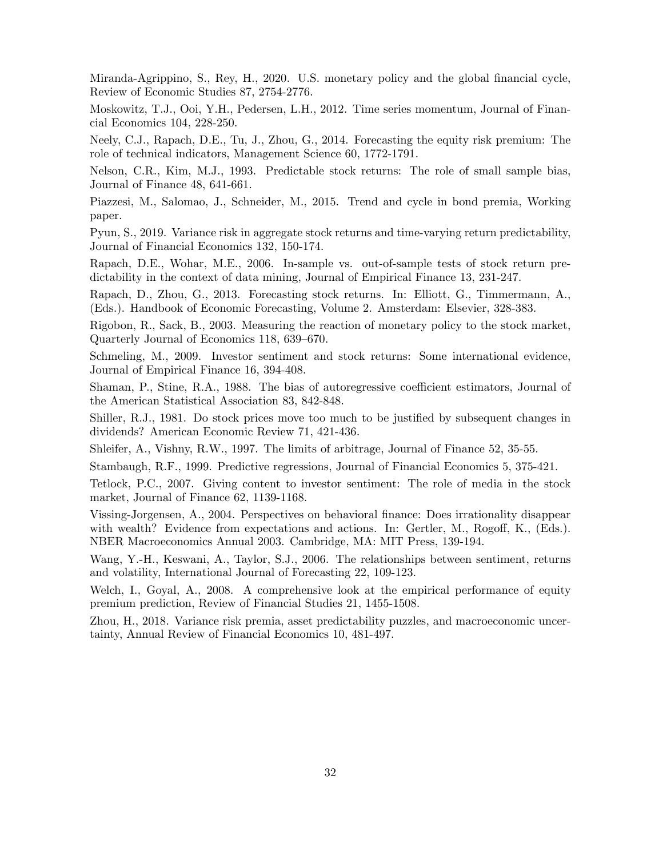Miranda-Agrippino, S., Rey, H., 2020. U.S. monetary policy and the global financial cycle, Review of Economic Studies 87, 2754-2776.

Moskowitz, T.J., Ooi, Y.H., Pedersen, L.H., 2012. Time series momentum, Journal of Financial Economics 104, 228-250.

Neely, C.J., Rapach, D.E., Tu, J., Zhou, G., 2014. Forecasting the equity risk premium: The role of technical indicators, Management Science 60, 1772-1791.

Nelson, C.R., Kim, M.J., 1993. Predictable stock returns: The role of small sample bias, Journal of Finance 48, 641-661.

Piazzesi, M., Salomao, J., Schneider, M., 2015. Trend and cycle in bond premia, Working paper.

Pyun, S., 2019. Variance risk in aggregate stock returns and time-varying return predictability, Journal of Financial Economics 132, 150-174.

Rapach, D.E., Wohar, M.E., 2006. In-sample vs. out-of-sample tests of stock return predictability in the context of data mining, Journal of Empirical Finance 13, 231-247.

Rapach, D., Zhou, G., 2013. Forecasting stock returns. In: Elliott, G., Timmermann, A., (Eds.). Handbook of Economic Forecasting, Volume 2. Amsterdam: Elsevier, 328-383.

Rigobon, R., Sack, B., 2003. Measuring the reaction of monetary policy to the stock market, Quarterly Journal of Economics 118, 639–670.

Schmeling, M., 2009. Investor sentiment and stock returns: Some international evidence, Journal of Empirical Finance 16, 394-408.

Shaman, P., Stine, R.A., 1988. The bias of autoregressive coefficient estimators, Journal of the American Statistical Association 83, 842-848.

Shiller, R.J., 1981. Do stock prices move too much to be justified by subsequent changes in dividends? American Economic Review 71, 421-436.

Shleifer, A., Vishny, R.W., 1997. The limits of arbitrage, Journal of Finance 52, 35-55.

Stambaugh, R.F., 1999. Predictive regressions, Journal of Financial Economics 5, 375-421.

Tetlock, P.C., 2007. Giving content to investor sentiment: The role of media in the stock market, Journal of Finance 62, 1139-1168.

Vissing-Jorgensen, A., 2004. Perspectives on behavioral Önance: Does irrationality disappear with wealth? Evidence from expectations and actions. In: Gertler, M., Rogoff, K.,  $(Eds.)$ . NBER Macroeconomics Annual 2003. Cambridge, MA: MIT Press, 139-194.

Wang, Y.-H., Keswani, A., Taylor, S.J., 2006. The relationships between sentiment, returns and volatility, International Journal of Forecasting 22, 109-123.

Welch, I., Goyal, A., 2008. A comprehensive look at the empirical performance of equity premium prediction, Review of Financial Studies 21, 1455-1508.

Zhou, H., 2018. Variance risk premia, asset predictability puzzles, and macroeconomic uncertainty, Annual Review of Financial Economics 10, 481-497.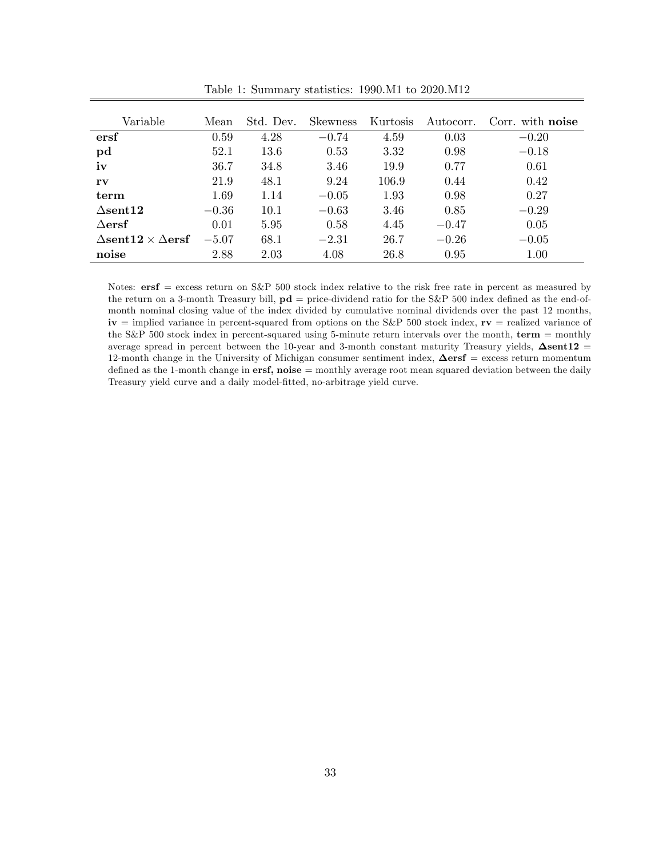| Variable                                 | Mean    | Std. Dev. | <b>Skewness</b> | Kurtosis | Autocorr. | Corr. with <b>noise</b> |
|------------------------------------------|---------|-----------|-----------------|----------|-----------|-------------------------|
| ersf                                     | 0.59    | 4.28      | $-0.74$         | 4.59     | 0.03      | $-0.20$                 |
| pd                                       | 52.1    | 13.6      | 0.53            | 3.32     | 0.98      | $-0.18$                 |
| iv                                       | 36.7    | 34.8      | 3.46            | 19.9     | 0.77      | 0.61                    |
| $\mathbf{rv}$                            | 21.9    | 48.1      | 9.24            | 106.9    | 0.44      | 0.42                    |
| term                                     | 1.69    | 1.14      | $-0.05$         | 1.93     | 0.98      | 0.27                    |
| $\Lambda$ sent $12$                      | $-0.36$ | 10.1      | $-0.63$         | 3.46     | 0.85      | $-0.29$                 |
| $\Delta \mathbf{ersf}$                   | 0.01    | 5.95      | 0.58            | 4.45     | $-0.47$   | 0.05                    |
| $\Lambda$ sent12 $\times$ $\Lambda$ ersf | $-5.07$ | 68.1      | $-2.31$         | 26.7     | $-0.26$   | $-0.05$                 |
| noise                                    | 2.88    | 2.03      | 4.08            | 26.8     | 0.95      | 1.00                    |

Table 1: Summary statistics: 1990.M1 to 2020.M12

Notes:  $ersf = excess$  return on S&P 500 stock index relative to the risk free rate in percent as measured by the return on a 3-month Treasury bill,  $\mathbf{p}d =$  price-dividend ratio for the S&P 500 index defined as the end-ofmonth nominal closing value of the index divided by cumulative nominal dividends over the past 12 months,  $iv =$  implied variance in percent-squared from options on the S&P 500 stock index,  $rv =$  realized variance of the S&P 500 stock index in percent-squared using 5-minute return intervals over the month, term = monthly average spread in percent between the 10-year and 3-month constant maturity Treasury yields,  $\Delta$ sent12 = 12-month change in the University of Michigan consumer sentiment index,  $\Delta \text{ersf} = \text{excess return momentum}$ defined as the 1-month change in  $ersf, noise = monthly average root mean squared deviation between the daily$ Treasury yield curve and a daily model-Ötted, no-arbitrage yield curve.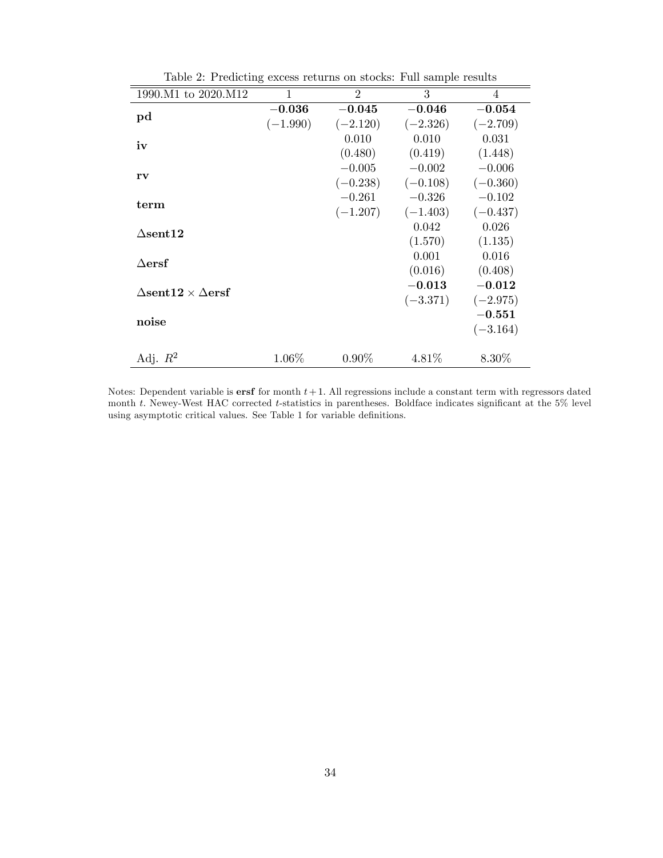| 1990.M1 to 2020.M12                   | 1          | $\mathfrak{D}$ | 3          | $\overline{4}$ |
|---------------------------------------|------------|----------------|------------|----------------|
|                                       | $-0.036$   | $-0.045$       | $-0.046$   | $-0.054$       |
| pd                                    | $(-1.990)$ | $(-2.120)$     | $(-2.326)$ | $(-2.709)$     |
| iv                                    |            | 0.010          | 0.010      | 0.031          |
|                                       |            | (0.480)        | (0.419)    | (1.448)        |
|                                       |            | $-0.005$       | $-0.002$   | $-0.006$       |
| rv                                    |            | $(-0.238)$     | $(-0.108)$ | $(-0.360)$     |
|                                       |            | $-0.261$       | $-0.326$   | $-0.102$       |
| term                                  |            | $(-1.207)$     | $(-1.403)$ | $(-0.437)$     |
| $\Lambda$ sent $12$                   |            |                | 0.042      | 0.026          |
|                                       |            |                | (1.570)    | (1.135)        |
| $\Lambda$ ersf                        |            |                | 0.001      | 0.016          |
|                                       |            |                | (0.016)    | (0.408)        |
| $\Delta$ sent $12 \times \Delta$ ersf |            |                | $-0.013$   | $-0.012$       |
|                                       |            |                | $(-3.371)$ | $(-2.975)$     |
| noise                                 |            |                |            | $-0.551$       |
|                                       |            |                |            | $(-3.164)$     |
|                                       |            |                |            |                |
| Adj. $R^2$                            | 1.06%      | $0.90\%$       | 4.81\%     | 8.30%          |

Table 2: Predicting excess returns on stocks: Full sample results

Notes: Dependent variable is **ersf** for month  $t+1$ . All regressions include a constant term with regressors dated month t. Newey-West HAC corrected t-statistics in parentheses. Boldface indicates significant at the  $5\%$  level using asymptotic critical values. See Table 1 for variable definitions.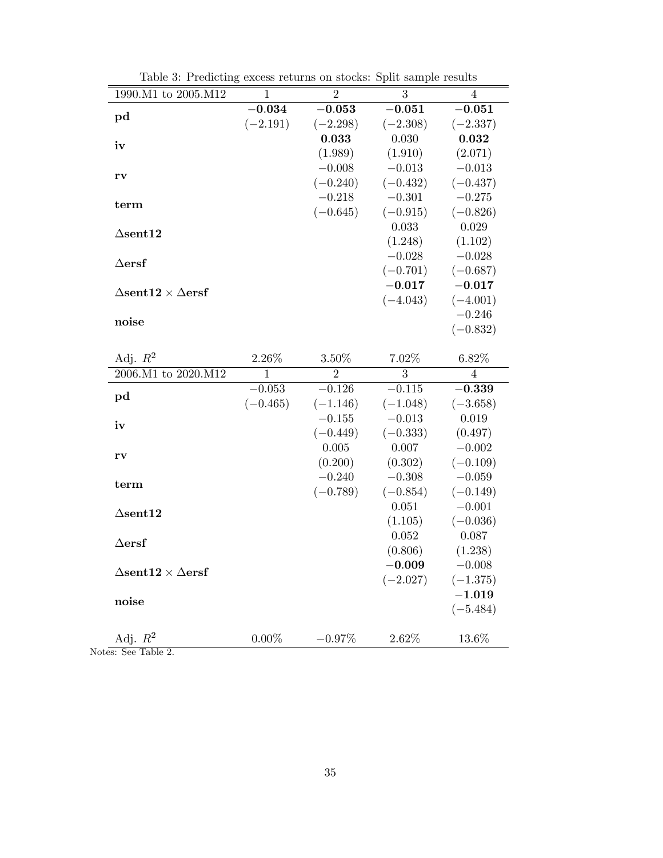| 1990.M1 to 2005.M12                              | $\overline{1}$ | $\overline{2}$             | $\overline{3}$         | $\overline{4}$      |
|--------------------------------------------------|----------------|----------------------------|------------------------|---------------------|
|                                                  | $-0.034$       | $-0.053$                   | $-0.051$               | $-0.051$            |
| pd                                               | $(-2.191)$     | $(-2.298)$                 | $(-2.308)$             | $(-2.337)$          |
| iv                                               |                | 0.033                      | 0.030                  | 0.032               |
|                                                  |                | (1.989)                    | (1.910)                | (2.071)             |
|                                                  |                | $-0.008$                   | $-0.013$               | $-0.013$            |
| rv                                               |                | $(-0.240)$                 | $(-0.432)$             | $(-0.437)$          |
| term                                             |                | $-0.218$                   | $-0.301$               | $-0.275$            |
|                                                  |                | $(-0.645)$                 | $(-0.915)$             | $(-0.826)$          |
| $\Delta$ sent12                                  |                |                            | 0.033                  | 0.029               |
|                                                  |                |                            | (1.248)                | (1.102)             |
| $\Delta \textbf{ersf}$                           |                |                            | $-0.028$               | $-0.028$            |
|                                                  |                |                            | $(-0.701)$             | $(-0.687)$          |
| $\Delta$ sent $12 \times \Delta$ ersf            |                |                            | $-0.017$               | $-0.017$            |
|                                                  |                |                            | $(-4.043)$             | $(-4.001)$          |
| noise                                            |                |                            |                        | $-0.246$            |
|                                                  |                |                            |                        | $(-0.832)$          |
|                                                  |                |                            |                        |                     |
| Adj. $R^2$<br>$2006.M1$ to $2020.M12$            | 2.26%          | $3.50\%$<br>$\overline{2}$ | 7.02%<br>3             | 6.82%               |
|                                                  | $\mathbf{1}$   |                            | $-0.115$               | $\overline{4}$      |
| pd                                               | $-0.053$       | $-0.126$                   |                        | $-0.339$            |
|                                                  | $(-0.465)$     | $(-1.146)$<br>$-0.155$     | $(-1.048)$<br>$-0.013$ | $(-3.658)$<br>0.019 |
| iv                                               |                | $(-0.449)$                 | $(-0.333)$             | (0.497)             |
|                                                  |                | 0.005                      | 0.007                  | $-0.002$            |
| rv                                               |                | (0.200)                    | (0.302)                | $(-0.109)$          |
|                                                  |                | $-0.240$                   | $-0.308$               | $-0.059$            |
| term                                             |                | $(-0.789)$                 | $(-0.854)$             | $(-0.149)$          |
|                                                  |                |                            | 0.051                  | $-0.001$            |
| $\Delta$ sent12                                  |                |                            | (1.105)                | $(-0.036)$          |
|                                                  |                |                            | 0.052                  | 0.087               |
| $\Delta$ ersf                                    |                |                            | (0.806)                | (1.238)             |
|                                                  |                |                            | $-0.009$               | $-0.008$            |
| $\Delta \text{sent12} \times \Delta \text{ersf}$ |                |                            | $(-2.027)$             | $(-1.375)$          |
|                                                  |                |                            |                        | $-1.019$            |
| noise                                            |                |                            |                        | $(-5.484)$          |
|                                                  |                |                            |                        |                     |
| Adj. $R^2$                                       | $0.00\%$       | $-0.97%$                   | 2.62%                  | 13.6%               |

Table 3: Predicting excess returns on stocks: Split sample results

Notes: See Table 2.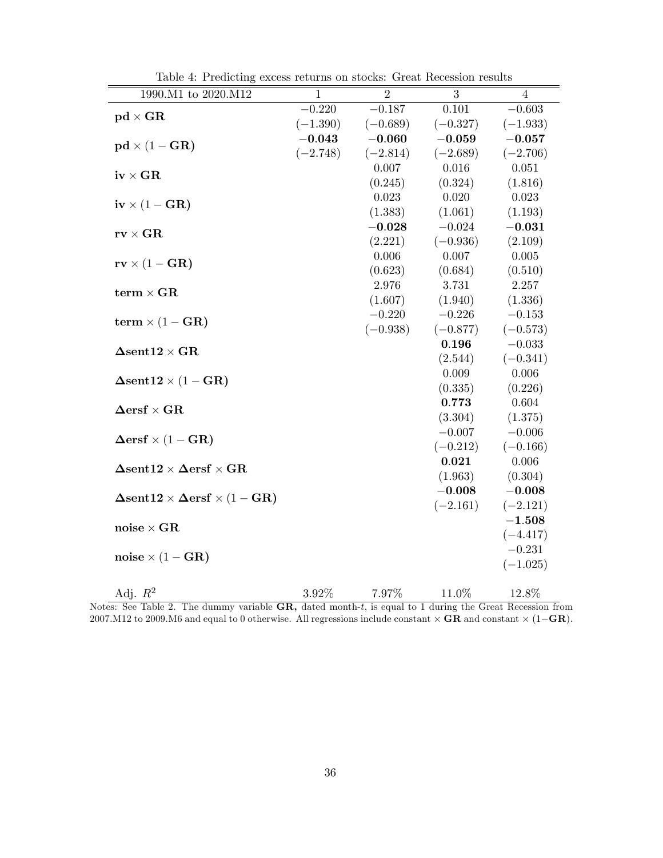| 1990.M1 to 2020.M12                                                                               | $\mathbf{1}$ | $\overline{2}$ | 3                | 4                |
|---------------------------------------------------------------------------------------------------|--------------|----------------|------------------|------------------|
|                                                                                                   | $-0.220$     | $-0.187$       | 0.101            | $-0.603$         |
| $pd \times GR$                                                                                    | $(-1.390)$   | $(-0.689)$     | $(-0.327)$       | $(-1.933)$       |
|                                                                                                   | $-0.043$     | $-0.060$       | $-0.059$         | $-0.057$         |
| $pd \times (1 - GR)$                                                                              | $(-2.748)$   | $(-2.814)$     | $(-2.689)$       | $(-2.706)$       |
|                                                                                                   |              | 0.007          | 0.016            | 0.051            |
| $iv \times GR$                                                                                    |              | (0.245)        | (0.324)          | (1.816)          |
|                                                                                                   |              | 0.023          | 0.020            | 0.023            |
| $iv \times (1 - GR)$                                                                              |              | (1.383)        | (1.061)          | (1.193)          |
|                                                                                                   |              | $-0.028$       | $-0.024$         | $-0.031$         |
| $\mathbf{rv}\times\mathbf{GR}$                                                                    |              | (2.221)        | $(-0.936)$       | (2.109)          |
| $\mathbf{rv} \times (1 - \mathbf{GR})$                                                            |              | 0.006          | 0.007            | 0.005            |
|                                                                                                   |              | (0.623)        | (0.684)          | (0.510)          |
| $term \times GR$                                                                                  |              | 2.976          | 3.731            | 2.257            |
|                                                                                                   |              | (1.607)        | (1.940)          | (1.336)          |
| term $\times (1 - GR)$                                                                            |              | $-0.220$       | $-0.226$         | $-0.153$         |
|                                                                                                   |              | $(-0.938)$     | $(-0.877)$       | $(-0.573)$       |
| $\boldsymbol{\Delta} \text{sent12} \times \text{GR}$                                              |              |                | 0.196            | $-0.033$         |
|                                                                                                   |              |                | (2.544)          | $(-0.341)$       |
| $\Delta$ sent $12 \times (1 - \text{GR})$                                                         |              |                | 0.009            | 0.006            |
|                                                                                                   |              |                | (0.335)          | (0.226)          |
| $\boldsymbol{\Delta}\text{ersf}\times\text{GR}$                                                   |              |                | 0.773            | 0.604            |
|                                                                                                   |              |                | (3.304)          | (1.375)          |
| $\Delta \text{ersf} \times (1 - \text{GR})$                                                       |              |                | $-0.007$         | $-0.006$         |
|                                                                                                   |              |                | $(-0.212)$       | $(-0.166)$       |
| $\boldsymbol{\Delta} \textbf{sent12} \times \boldsymbol{\Delta} \textbf{ersf} \times \textbf{GR}$ |              |                | 0.021<br>(1.963) | 0.006<br>(0.304) |
|                                                                                                   |              |                | $-0.008$         | $-0.008$         |
| $\Delta$ sent $12 \times \Delta$ ersf $\times (1 - \text{GR})$                                    |              |                | $(-2.161)$       | $(-2.121)$       |
|                                                                                                   |              |                |                  | $-1.508$         |
| $\mathrm{noise} \times \mathrm{GR}$                                                               |              |                |                  | $(-4.417)$       |
|                                                                                                   |              |                |                  | $-0.231$         |
| $noise \times (1 - GR)$                                                                           |              |                |                  | $(-1.025)$       |
|                                                                                                   |              |                |                  |                  |
| Adj. $R^2$                                                                                        | $3.92\%$     | 7.97%          | 11.0%            | 12.8%            |

Table 4: Predicting excess returns on stocks: Great Recession results

Notes: See Table 2. The dummy variable GR, dated month-t, is equal to 1 during the Great Recession from 2007.M12 to 2009.M6 and equal to 0 otherwise. All regressions include constant  $\times$  **GR** and constant  $\times$  (1–**GR**).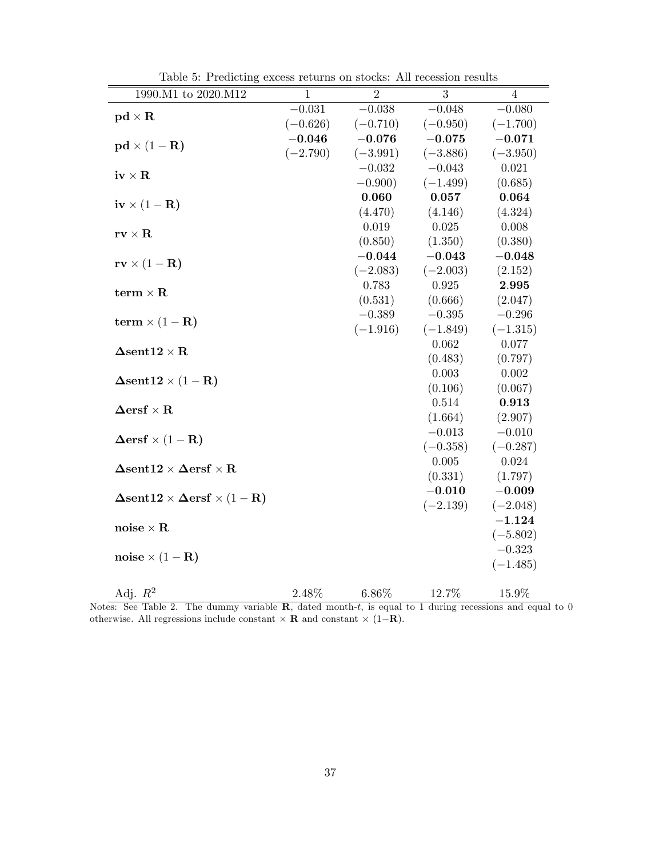| 1990.M1 to 2020.M12                                                                              | $\mathbf{1}$ | $\overline{2}$         | 3                      | $\overline{4}$         |
|--------------------------------------------------------------------------------------------------|--------------|------------------------|------------------------|------------------------|
| $pd \times R$                                                                                    | $-0.031$     | $-0.038$               | $-0.048$               | $-0.080$               |
|                                                                                                  | $(-0.626)$   | $(-0.710)$             | $(-0.950)$             | $(-1.700)$             |
| $\mathbf{p}\mathbf{d} \times (1 - \mathbf{R})$                                                   | $-0.046$     | $-0.076$               | $-0.075$               | $-0.071$               |
|                                                                                                  | $(-2.790)$   | $(-3.991)$             | $(-3.886)$             | $(-3.950)$             |
| $\mathbf{iv} \times \mathbf{R}$                                                                  |              | $-0.032$               | $-0.043$               | 0.021                  |
|                                                                                                  |              | $-0.900)$              | $(-1.499)$             | (0.685)                |
| $iv \times (1 - R)$                                                                              |              | 0.060                  | 0.057                  | 0.064                  |
|                                                                                                  |              | (4.470)                | (4.146)                | (4.324)                |
| $\mathbf{rv}\times\mathbf{R}$                                                                    |              | 0.019                  | 0.025                  | 0.008                  |
|                                                                                                  |              | (0.850)                | (1.350)                | (0.380)                |
| $\mathbf{rv} \times (1 - \mathbf{R})$                                                            |              | $-0.044$               | $-0.043$               | $-0.048$               |
|                                                                                                  |              | $(-2.083)$             | $(-2.003)$             | (2.152)                |
| term $\times$ R                                                                                  |              | 0.783                  | 0.925                  | 2.995                  |
|                                                                                                  |              | (0.531)                | (0.666)                | (2.047)                |
| term $\times (1 - R)$                                                                            |              | $-0.389$<br>$(-1.916)$ | $-0.395$<br>$(-1.849)$ | $-0.296$<br>$(-1.315)$ |
|                                                                                                  |              |                        | 0.062                  | 0.077                  |
| $\boldsymbol{\Delta} \textbf{sent12} \times \textbf{R}$                                          |              |                        | (0.483)                | (0.797)                |
|                                                                                                  |              |                        | 0.003                  | 0.002                  |
| $\Delta sent12 \times (1 - R)$                                                                   |              |                        | (0.106)                | (0.067)                |
|                                                                                                  |              |                        | 0.514                  | 0.913                  |
| $\boldsymbol{\Delta}\mathbf{ersf}\times\mathbf{R}$                                               |              |                        | (1.664)                | (2.907)                |
|                                                                                                  |              |                        | $-0.013$               | $-0.010$               |
| $\Delta \text{ersf} \times (1 - \mathbf{R})$                                                     |              |                        | $(-0.358)$             | $(-0.287)$             |
|                                                                                                  |              |                        | 0.005                  | 0.024                  |
| $\boldsymbol{\Delta} \textbf{sent12} \times \boldsymbol{\Delta} \textbf{ersf} \times \textbf{R}$ |              |                        | (0.331)                | (1.797)                |
|                                                                                                  |              |                        | $-0.010$               | $-0.009$               |
| $\Delta$ sent $12 \times \Delta$ ersf $\times (1 - R)$                                           |              |                        | $(-2.139)$             | $(-2.048)$             |
| $\mathbf{noise} \times \mathbf{R}$                                                               |              |                        |                        | $-1.124$               |
|                                                                                                  |              |                        |                        | $(-5.802)$             |
| noise $\times (1 - R)$                                                                           |              |                        |                        | $-0.323$               |
|                                                                                                  |              |                        |                        | $(-1.485)$             |
| Adj. $R^2$                                                                                       | 2.48%        | 6.86%                  | 12.7%                  | $15.9\%$               |
|                                                                                                  |              |                        |                        |                        |

Table 5: Predicting excess returns on stocks: All recession results

Notes: See Table 2. The dummy variable  $\mathbf{R}$ , dated month-t, is equal to 1 during recessions and equal to 0 otherwise. All regressions include constant  $\times$  **R** and constant  $\times$  (1-**R**).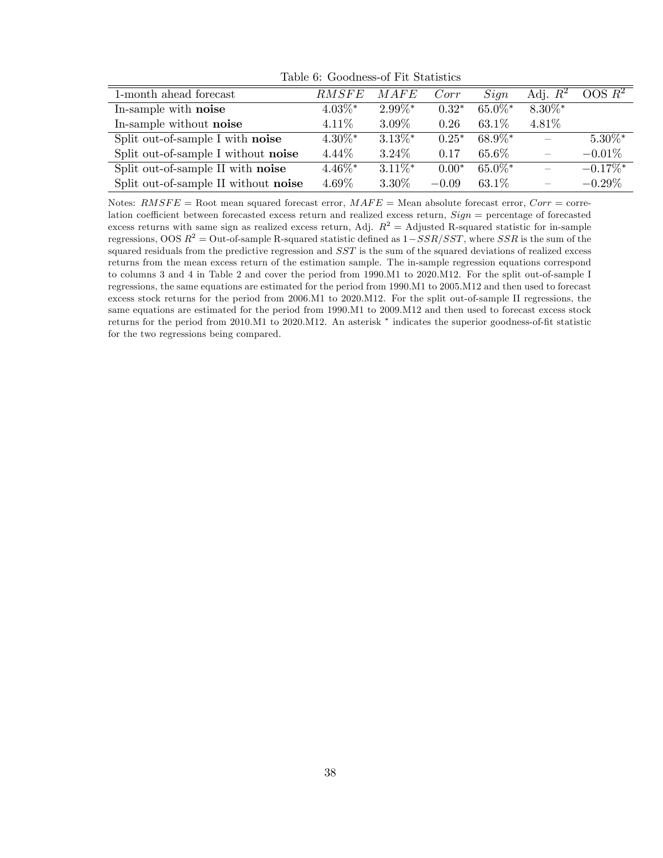| 1-month ahead forecast               | <b>RMSFE</b> | MAFE       | Corr    | Sign       | Adj. $R^2$ | OOS R <sup>2</sup>     |
|--------------------------------------|--------------|------------|---------|------------|------------|------------------------|
| In-sample with noise                 | $4.03\%$ *   | $2.99\%*$  | $0.32*$ | $65.0\%$ * | $8.30\%$ * |                        |
| In-sample without noise              | 4.11\%       | 3.09%      | 0.26    | 63.1%      | 4.81%      |                        |
| Split out-of-sample I with noise     | $4.30\%$ *   | $3.13\%$ * | $0.25*$ | 68.9%*     |            | $5.30\%$ *             |
| Split out-of-sample I without noise  | 4.44\%       | $3.24\%$   | 0.17    | 65.6%      |            | $-0.01\%$              |
| Split out-of-sample II with noise    | $4.46\%$ *   | $3.11\%$ * | $0.00*$ | $65.0\%$ * |            | $-0.17\%$ <sup>*</sup> |
| Split out-of-sample II without noise | 4.69%        | 3.30%      | $-0.09$ | $63.1\%$   |            | $-0.29\%$              |

Table 6: Goodness-of Fit Statistics

Notes:  $RMSFE =$  Root mean squared forecast error,  $MAFE =$  Mean absolute forecast error,  $Corr =$  correlation coefficient between forecasted excess return and realized excess return,  $Sign =$  percentage of forecasted excess returns with same sign as realized excess return, Adj.  $R^2 =$  Adjusted R-squared statistic for in-sample regressions, OOS  $R^2 =$  Out-of-sample R-squared statistic defined as  $1 - SSR/ SST$ , where SSR is the sum of the squared residuals from the predictive regression and SST is the sum of the squared deviations of realized excess returns from the mean excess return of the estimation sample. The in-sample regression equations correspond to columns 3 and 4 in Table 2 and cover the period from 1990.M1 to 2020.M12. For the split out-of-sample I regressions, the same equations are estimated for the period from 1990.M1 to 2005.M12 and then used to forecast excess stock returns for the period from 2006.M1 to 2020.M12. For the split out-of-sample II regressions, the same equations are estimated for the period from 1990.M1 to 2009.M12 and then used to forecast excess stock returns for the period from 2010.M1 to 2020.M12. An asterisk  $*$  indicates the superior goodness-of-fit statistic for the two regressions being compared.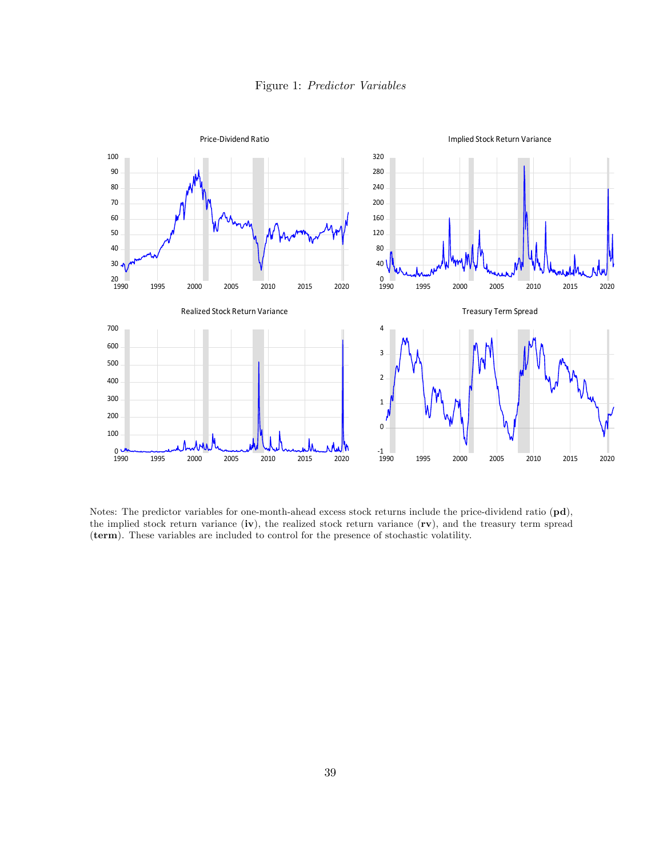



Notes: The predictor variables for one-month-ahead excess stock returns include the price-dividend ratio (pd), the implied stock return variance (iv), the realized stock return variance (rv), and the treasury term spread (term). These variables are included to control for the presence of stochastic volatility.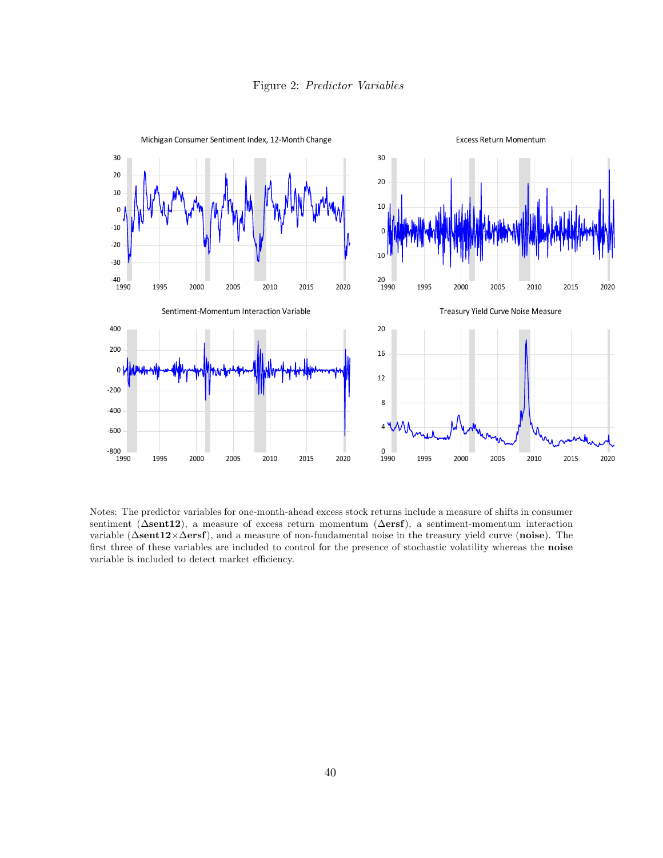



Notes: The predictor variables for one-month-ahead excess stock returns include a measure of shifts in consumer sentiment ( $\Delta$ sent12), a measure of excess return momentum ( $\Delta$ ersf), a sentiment-momentum interaction variable ( $\Delta$ sent12 $\times$  $\Delta$ ersf), and a measure of non-fundamental noise in the treasury yield curve (noise). The first three of these variables are included to control for the presence of stochastic volatility whereas the noise variable is included to detect market efficiency.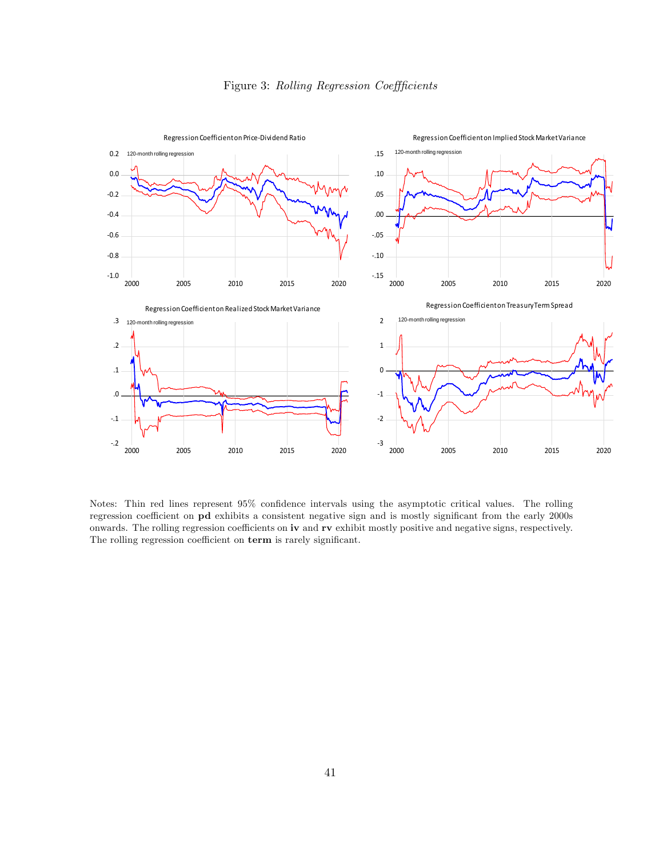

Notes: Thin red lines represent 95% confidence intervals using the asymptotic critical values. The rolling regression coefficient on pd exhibits a consistent negative sign and is mostly significant from the early 2000s onwards. The rolling regression coefficients on iv and rv exhibit mostly positive and negative signs, respectively. The rolling regression coefficient on term is rarely significant.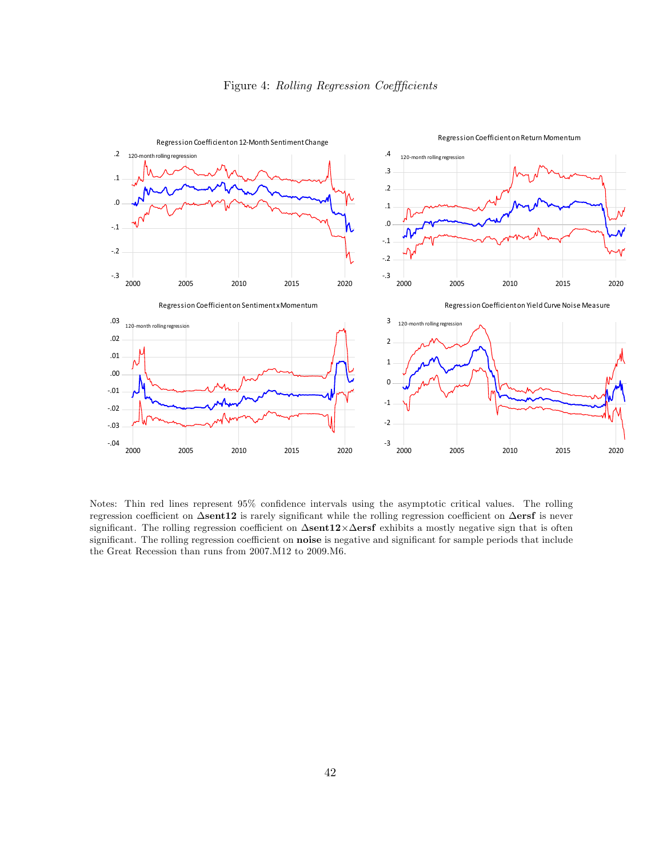



Notes: Thin red lines represent 95% confidence intervals using the asymptotic critical values. The rolling regression coefficient on  $\Delta$ sent12 is rarely significant while the rolling regression coefficient on  $\Delta$ ersf is never significant. The rolling regression coefficient on  $\Delta$ sent12 $\times \Delta$ ersf exhibits a mostly negative sign that is often significant. The rolling regression coefficient on **noise** is negative and significant for sample periods that include the Great Recession than runs from 2007.M12 to 2009.M6.